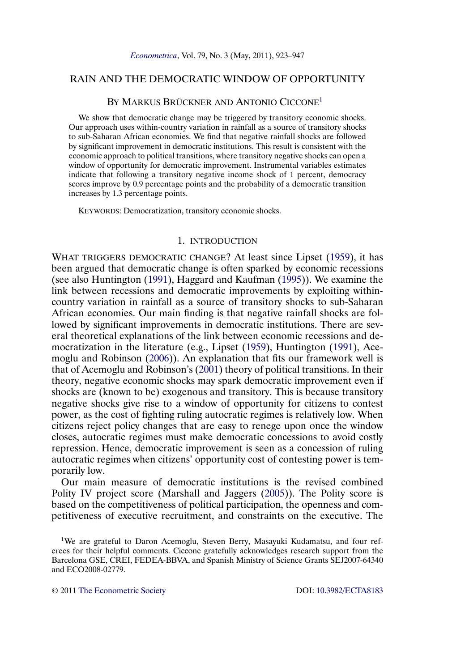# <span id="page-0-0"></span>RAIN AND THE DEMOCRATIC WINDOW OF OPPORTUNITY

# BY MARKUS BRÜCKNER AND ANTONIO CICCONE<sup>1</sup>

We show that democratic change may be triggered by transitory economic shocks. Our approach uses within-country variation in rainfall as a source of transitory shocks to sub-Saharan African economies. We find that negative rainfall shocks are followed by significant improvement in democratic institutions. This result is consistent with the economic approach to political transitions, where transitory negative shocks can open a window of opportunity for democratic improvement. Instrumental variables estimates indicate that following a transitory negative income shock of 1 percent, democracy scores improve by 0.9 percentage points and the probability of a democratic transition increases by 1.3 percentage points.

KEYWORDS: Democratization, transitory economic shocks.

## 1. INTRODUCTION

WHAT TRIGGERS DEMOCRATIC CHANGE? At least since Lipset [\(1959\)](#page-23-0), it has been argued that democratic change is often sparked by economic recessions (see also Huntington [\(1991\)](#page-23-0), Haggard and Kaufman [\(1995\)](#page-23-0)). We examine the link between recessions and democratic improvements by exploiting withincountry variation in rainfall as a source of transitory shocks to sub-Saharan African economies. Our main finding is that negative rainfall shocks are followed by significant improvements in democratic institutions. There are several theoretical explanations of the link between economic recessions and democratization in the literature (e.g., Lipset [\(1959\)](#page-23-0), Huntington [\(1991\)](#page-23-0), Acemoglu and Robinson [\(2006\)](#page-22-0)). An explanation that fits our framework well is that of Acemoglu and Robinson's [\(2001\)](#page-22-0) theory of political transitions. In their theory, negative economic shocks may spark democratic improvement even if shocks are (known to be) exogenous and transitory. This is because transitory negative shocks give rise to a window of opportunity for citizens to contest power, as the cost of fighting ruling autocratic regimes is relatively low. When citizens reject policy changes that are easy to renege upon once the window closes, autocratic regimes must make democratic concessions to avoid costly repression. Hence, democratic improvement is seen as a concession of ruling autocratic regimes when citizens' opportunity cost of contesting power is temporarily low.

Our main measure of democratic institutions is the revised combined Polity IV project score (Marshall and Jaggers [\(2005\)](#page-23-0)). The Polity score is based on the competitiveness of political participation, the openness and competitiveness of executive recruitment, and constraints on the executive. The

1We are grateful to Daron Acemoglu, Steven Berry, Masayuki Kudamatsu, and four referees for their helpful comments. Ciccone gratefully acknowledges research support from the Barcelona GSE, CREI, FEDEA-BBVA, and Spanish Ministry of Science Grants SEJ2007-64340 and ECO2008-02779.

© 2011 [The Econometric Society](http://www.econometricsociety.org/) DOI: [10.3982/ECTA8183](http://dx.doi.org/10.3982/ECTA8183)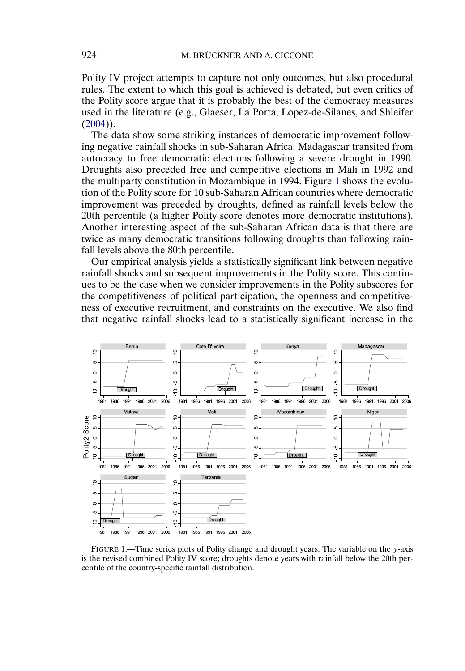<span id="page-1-0"></span>Polity IV project attempts to capture not only outcomes, but also procedural rules. The extent to which this goal is achieved is debated, but even critics of the Polity score argue that it is probably the best of the democracy measures used in the literature (e.g., Glaeser, La Porta, Lopez-de-Silanes, and Shleifer  $(2004)$ ).

The data show some striking instances of democratic improvement following negative rainfall shocks in sub-Saharan Africa. Madagascar transited from autocracy to free democratic elections following a severe drought in 1990. Droughts also preceded free and competitive elections in Mali in 1992 and the multiparty constitution in Mozambique in 1994. Figure 1 shows the evolution of the Polity score for 10 sub-Saharan African countries where democratic improvement was preceded by droughts, defined as rainfall levels below the 20th percentile (a higher Polity score denotes more democratic institutions). Another interesting aspect of the sub-Saharan African data is that there are twice as many democratic transitions following droughts than following rainfall levels above the 80th percentile.

Our empirical analysis yields a statistically significant link between negative rainfall shocks and subsequent improvements in the Polity score. This continues to be the case when we consider improvements in the Polity subscores for the competitiveness of political participation, the openness and competitiveness of executive recruitment, and constraints on the executive. We also find that negative rainfall shocks lead to a statistically significant increase in the



FIGURE 1.—Time series plots of Polity change and drought years. The variable on the y-axis is the revised combined Polity IV score; droughts denote years with rainfall below the 20th percentile of the country-specific rainfall distribution.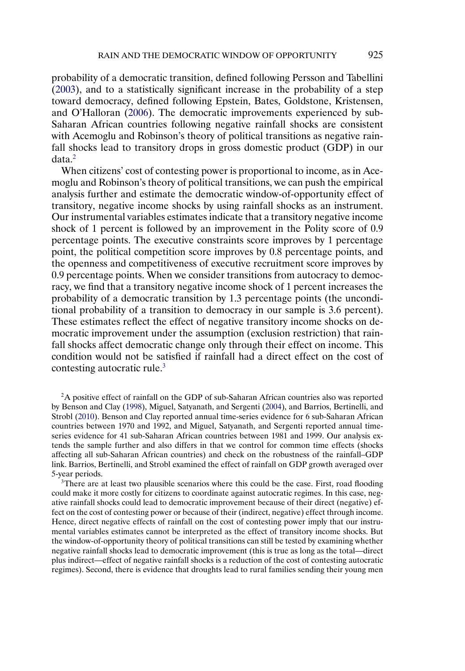<span id="page-2-0"></span>probability of a democratic transition, defined following Persson and Tabellini  $(2003)$ , and to a statistically significant increase in the probability of a step toward democracy, defined following Epstein, Bates, Goldstone, Kristensen, and O'Halloran [\(2006\)](#page-23-0). The democratic improvements experienced by sub-Saharan African countries following negative rainfall shocks are consistent with Acemoglu and Robinson's theory of political transitions as negative rainfall shocks lead to transitory drops in gross domestic product (GDP) in our data.2

When citizens' cost of contesting power is proportional to income, as in Acemoglu and Robinson's theory of political transitions, we can push the empirical analysis further and estimate the democratic window-of-opportunity effect of transitory, negative income shocks by using rainfall shocks as an instrument. Our instrumental variables estimates indicate that a transitory negative income shock of 1 percent is followed by an improvement in the Polity score of 0.9 percentage points. The executive constraints score improves by 1 percentage point, the political competition score improves by 0.8 percentage points, and the openness and competitiveness of executive recruitment score improves by 0.9 percentage points. When we consider transitions from autocracy to democracy, we find that a transitory negative income shock of 1 percent increases the probability of a democratic transition by 1.3 percentage points (the unconditional probability of a transition to democracy in our sample is 3.6 percent). These estimates reflect the effect of negative transitory income shocks on democratic improvement under the assumption (exclusion restriction) that rainfall shocks affect democratic change only through their effect on income. This condition would not be satisfied if rainfall had a direct effect on the cost of contesting autocratic rule.<sup>3</sup>

2A positive effect of rainfall on the GDP of sub-Saharan African countries also was reported by Benson and Clay [\(1998\)](#page-22-0), Miguel, Satyanath, and Sergenti [\(2004\)](#page-23-0), and Barrios, Bertinelli, and Strobl [\(2010\)](#page-22-0). Benson and Clay reported annual time-series evidence for 6 sub-Saharan African countries between 1970 and 1992, and Miguel, Satyanath, and Sergenti reported annual timeseries evidence for 41 sub-Saharan African countries between 1981 and 1999. Our analysis extends the sample further and also differs in that we control for common time effects (shocks affecting all sub-Saharan African countries) and check on the robustness of the rainfall–GDP link. Barrios, Bertinelli, and Strobl examined the effect of rainfall on GDP growth averaged over 5-year periods.

<sup>3</sup>There are at least two plausible scenarios where this could be the case. First, road flooding could make it more costly for citizens to coordinate against autocratic regimes. In this case, negative rainfall shocks could lead to democratic improvement because of their direct (negative) effect on the cost of contesting power or because of their (indirect, negative) effect through income. Hence, direct negative effects of rainfall on the cost of contesting power imply that our instrumental variables estimates cannot be interpreted as the effect of transitory income shocks. But the window-of-opportunity theory of political transitions can still be tested by examining whether negative rainfall shocks lead to democratic improvement (this is true as long as the total—direct plus indirect—effect of negative rainfall shocks is a reduction of the cost of contesting autocratic regimes). Second, there is evidence that droughts lead to rural families sending their young men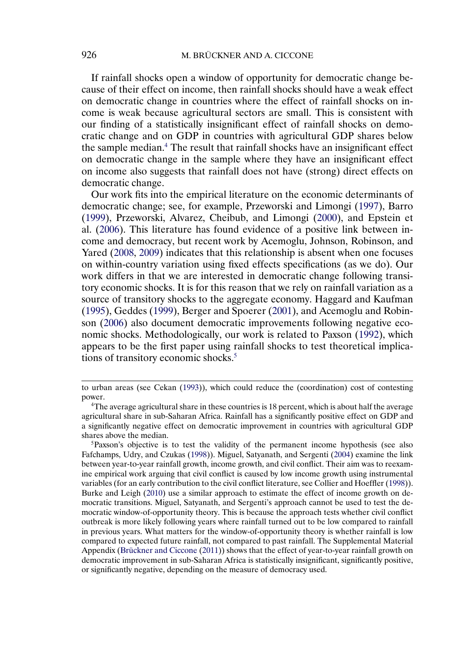<span id="page-3-0"></span>If rainfall shocks open a window of opportunity for democratic change because of their effect on income, then rainfall shocks should have a weak effect on democratic change in countries where the effect of rainfall shocks on income is weak because agricultural sectors are small. This is consistent with our finding of a statistically insignificant effect of rainfall shocks on democratic change and on GDP in countries with agricultural GDP shares below the sample median.4 The result that rainfall shocks have an insignificant effect on democratic change in the sample where they have an insignificant effect on income also suggests that rainfall does not have (strong) direct effects on democratic change.

Our work fits into the empirical literature on the economic determinants of democratic change; see, for example, Przeworski and Limongi [\(1997\)](#page-24-0), Barro [\(1999\)](#page-22-0), Przeworski, Alvarez, Cheibub, and Limongi [\(2000\)](#page-24-0), and Epstein et al. [\(2006\)](#page-23-0). This literature has found evidence of a positive link between income and democracy, but recent work by Acemoglu, Johnson, Robinson, and Yared [\(2008,](#page-22-0) [2009\)](#page-22-0) indicates that this relationship is absent when one focuses on within-country variation using fixed effects specifications (as we do). Our work differs in that we are interested in democratic change following transitory economic shocks. It is for this reason that we rely on rainfall variation as a source of transitory shocks to the aggregate economy. Haggard and Kaufman [\(1995\)](#page-23-0), Geddes [\(1999\)](#page-23-0), Berger and Spoerer [\(2001\)](#page-22-0), and Acemoglu and Robinson [\(2006\)](#page-22-0) also document democratic improvements following negative economic shocks. Methodologically, our work is related to Paxson [\(1992\)](#page-23-0), which appears to be the first paper using rainfall shocks to test theoretical implications of transitory economic shocks.<sup>5</sup>

to urban areas (see Cekan [\(1993\)](#page-23-0)), which could reduce the (coordination) cost of contesting power.

<sup>&</sup>lt;sup>4</sup>The average agricultural share in these countries is 18 percent, which is about half the average agricultural share in sub-Saharan Africa. Rainfall has a significantly positive effect on GDP and a significantly negative effect on democratic improvement in countries with agricultural GDP shares above the median.

<sup>&</sup>lt;sup>5</sup>Paxson's objective is to test the validity of the permanent income hypothesis (see also Fafchamps, Udry, and Czukas [\(1998\)](#page-23-0)). Miguel, Satyanath, and Sergenti [\(2004\)](#page-23-0) examine the link between year-to-year rainfall growth, income growth, and civil conflict. Their aim was to reexamine empirical work arguing that civil conflict is caused by low income growth using instrumental variables (for an early contribution to the civil conflict literature, see Collier and Hoeffler [\(1998\)](#page-23-0)). Burke and Leigh [\(2010\)](#page-22-0) use a similar approach to estimate the effect of income growth on democratic transitions. Miguel, Satyanath, and Sergenti's approach cannot be used to test the democratic window-of-opportunity theory. This is because the approach tests whether civil conflict outbreak is more likely following years where rainfall turned out to be low compared to rainfall in previous years. What matters for the window-of-opportunity theory is whether rainfall is low compared to expected future rainfall, not compared to past rainfall. The Supplemental Material Appendix [\(Brückner and Ciccone](#page-22-0) [\(2011\)](#page-22-0)) shows that the effect of year-to-year rainfall growth on democratic improvement in sub-Saharan Africa is statistically insignificant, significantly positive, or significantly negative, depending on the measure of democracy used.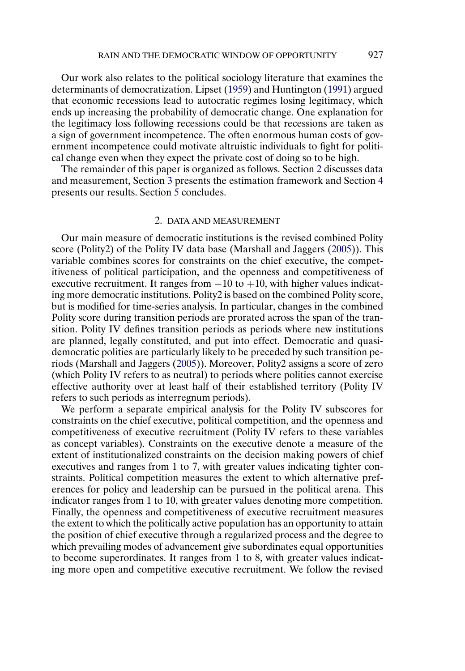<span id="page-4-0"></span>Our work also relates to the political sociology literature that examines the determinants of democratization. Lipset [\(1959\)](#page-23-0) and Huntington [\(1991\)](#page-23-0) argued that economic recessions lead to autocratic regimes losing legitimacy, which ends up increasing the probability of democratic change. One explanation for the legitimacy loss following recessions could be that recessions are taken as a sign of government incompetence. The often enormous human costs of government incompetence could motivate altruistic individuals to fight for political change even when they expect the private cost of doing so to be high.

The remainder of this paper is organized as follows. Section 2 discusses data and measurement, Section [3](#page-7-0) presents the estimation framework and Section [4](#page-9-0) presents our results. Section [5](#page-21-0) concludes.

## 2. DATA AND MEASUREMENT

Our main measure of democratic institutions is the revised combined Polity score (Polity2) of the Polity IV data base (Marshall and Jaggers [\(2005\)](#page-23-0)). This variable combines scores for constraints on the chief executive, the competitiveness of political participation, and the openness and competitiveness of executive recruitment. It ranges from  $-10$  to  $+10$ , with higher values indicating more democratic institutions. Polity2 is based on the combined Polity score, but is modified for time-series analysis. In particular, changes in the combined Polity score during transition periods are prorated across the span of the transition. Polity IV defines transition periods as periods where new institutions are planned, legally constituted, and put into effect. Democratic and quasidemocratic polities are particularly likely to be preceded by such transition periods (Marshall and Jaggers [\(2005\)](#page-23-0)). Moreover, Polity2 assigns a score of zero (which Polity IV refers to as neutral) to periods where polities cannot exercise effective authority over at least half of their established territory (Polity IV refers to such periods as interregnum periods).

We perform a separate empirical analysis for the Polity IV subscores for constraints on the chief executive, political competition, and the openness and competitiveness of executive recruitment (Polity IV refers to these variables as concept variables). Constraints on the executive denote a measure of the extent of institutionalized constraints on the decision making powers of chief executives and ranges from 1 to 7, with greater values indicating tighter constraints. Political competition measures the extent to which alternative preferences for policy and leadership can be pursued in the political arena. This indicator ranges from 1 to 10, with greater values denoting more competition. Finally, the openness and competitiveness of executive recruitment measures the extent to which the politically active population has an opportunity to attain the position of chief executive through a regularized process and the degree to which prevailing modes of advancement give subordinates equal opportunities to become superordinates. It ranges from 1 to 8, with greater values indicating more open and competitive executive recruitment. We follow the revised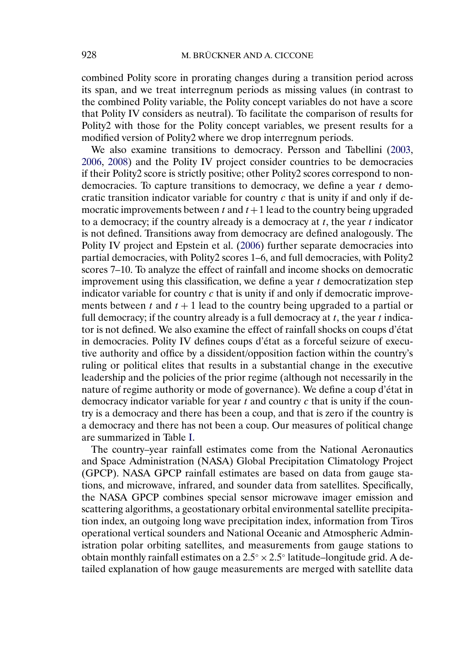<span id="page-5-0"></span>combined Polity score in prorating changes during a transition period across its span, and we treat interregnum periods as missing values (in contrast to the combined Polity variable, the Polity concept variables do not have a score that Polity IV considers as neutral). To facilitate the comparison of results for Polity2 with those for the Polity concept variables, we present results for a modified version of Polity2 where we drop interregnum periods.

We also examine transitions to democracy. Persson and Tabellini [\(2003,](#page-23-0) [2006,](#page-23-0) [2008\)](#page-24-0) and the Polity IV project consider countries to be democracies if their Polity2 score is strictly positive; other Polity2 scores correspond to nondemocracies. To capture transitions to democracy, we define a year  $t$  democratic transition indicator variable for country  $c$  that is unity if and only if democratic improvements between t and  $t + 1$  lead to the country being upgraded to a democracy; if the country already is a democracy at  $t$ , the year  $t$  indicator is not defined. Transitions away from democracy are defined analogously. The Polity IV project and Epstein et al. [\(2006\)](#page-23-0) further separate democracies into partial democracies, with Polity2 scores 1–6, and full democracies, with Polity2 scores 7–10. To analyze the effect of rainfall and income shocks on democratic improvement using this classification, we define a year  $t$  democratization step indicator variable for country  $c$  that is unity if and only if democratic improvements between t and  $t + 1$  lead to the country being upgraded to a partial or full democracy; if the country already is a full democracy at  $t$ , the year  $t$  indicator is not defined. We also examine the effect of rainfall shocks on coups d'état in democracies. Polity IV defines coups d'état as a forceful seizure of executive authority and office by a dissident/opposition faction within the country's ruling or political elites that results in a substantial change in the executive leadership and the policies of the prior regime (although not necessarily in the nature of regime authority or mode of governance). We define a coup d'état in democracy indicator variable for year  $t$  and country  $c$  that is unity if the country is a democracy and there has been a coup, and that is zero if the country is a democracy and there has not been a coup. Our measures of political change are summarized in Table [I.](#page-6-0)

The country–year rainfall estimates come from the National Aeronautics and Space Administration (NASA) Global Precipitation Climatology Project (GPCP). NASA GPCP rainfall estimates are based on data from gauge stations, and microwave, infrared, and sounder data from satellites. Specifically, the NASA GPCP combines special sensor microwave imager emission and scattering algorithms, a geostationary orbital environmental satellite precipitation index, an outgoing long wave precipitation index, information from Tiros operational vertical sounders and National Oceanic and Atmospheric Administration polar orbiting satellites, and measurements from gauge stations to obtain monthly rainfall estimates on a  $2.5^{\circ} \times 2.5^{\circ}$  latitude–longitude grid. A detailed explanation of how gauge measurements are merged with satellite data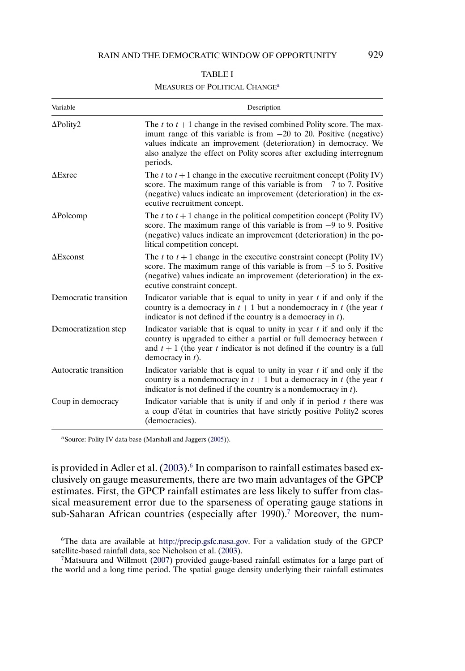### TABLE I

| MEASURES OF POLITICAL CHANGE <sup>a</sup> |  |  |
|-------------------------------------------|--|--|
|-------------------------------------------|--|--|

<span id="page-6-0"></span>

| Variable              | Description                                                                                                                                                                                                                                                                                           |
|-----------------------|-------------------------------------------------------------------------------------------------------------------------------------------------------------------------------------------------------------------------------------------------------------------------------------------------------|
| $\Delta$ Polity2      | The t to $t + 1$ change in the revised combined Polity score. The max-<br>imum range of this variable is from $-20$ to 20. Positive (negative)<br>values indicate an improvement (deterioration) in democracy. We<br>also analyze the effect on Polity scores after excluding interregnum<br>periods. |
| $\triangle$ Exrec     | The t to $t + 1$ change in the executive recruitment concept (Polity IV)<br>score. The maximum range of this variable is from $-7$ to 7. Positive<br>(negative) values indicate an improvement (deterioration) in the ex-<br>ecutive recruitment concept.                                             |
| $\Delta$ Polcomp      | The t to $t + 1$ change in the political competition concept (Polity IV)<br>score. The maximum range of this variable is from $-9$ to 9. Positive<br>(negative) values indicate an improvement (deterioration) in the po-<br>litical competition concept.                                             |
| $\Delta$ Exconst      | The t to $t + 1$ change in the executive constraint concept (Polity IV)<br>score. The maximum range of this variable is from $-5$ to 5. Positive<br>(negative) values indicate an improvement (deterioration) in the ex-<br>ecutive constraint concept.                                               |
| Democratic transition | Indicator variable that is equal to unity in year $t$ if and only if the<br>country is a democracy in $t + 1$ but a nondemocracy in t (the year t<br>indicator is not defined if the country is a democracy in $t$ ).                                                                                 |
| Democratization step  | Indicator variable that is equal to unity in year $t$ if and only if the<br>country is upgraded to either a partial or full democracy between t<br>and $t + 1$ (the year t indicator is not defined if the country is a full<br>democracy in $t$ ).                                                   |
| Autocratic transition | Indicator variable that is equal to unity in year $t$ if and only if the<br>country is a nondemocracy in $t + 1$ but a democracy in t (the year t<br>indicator is not defined if the country is a nondemocracy in $t$ ).                                                                              |
| Coup in democracy     | Indicator variable that is unity if and only if in period $t$ there was<br>a coup d'état in countries that have strictly positive Polity2 scores<br>(democracies).                                                                                                                                    |

aSource: Polity IV data base (Marshall and Jaggers [\(2005\)](#page-23-0)).

is provided in Adler et al. [\(2003\)](#page-22-0).<sup>6</sup> In comparison to rainfall estimates based exclusively on gauge measurements, there are two main advantages of the GPCP estimates. First, the GPCP rainfall estimates are less likely to suffer from classical measurement error due to the sparseness of operating gauge stations in sub-Saharan African countries (especially after 1990).<sup>7</sup> Moreover, the num-

6The data are available at <http://precip.gsfc.nasa.gov>. For a validation study of the GPCP satellite-based rainfall data, see Nicholson et al. [\(2003\)](#page-23-0).

7Matsuura and Willmott [\(2007\)](#page-23-0) provided gauge-based rainfall estimates for a large part of the world and a long time period. The spatial gauge density underlying their rainfall estimates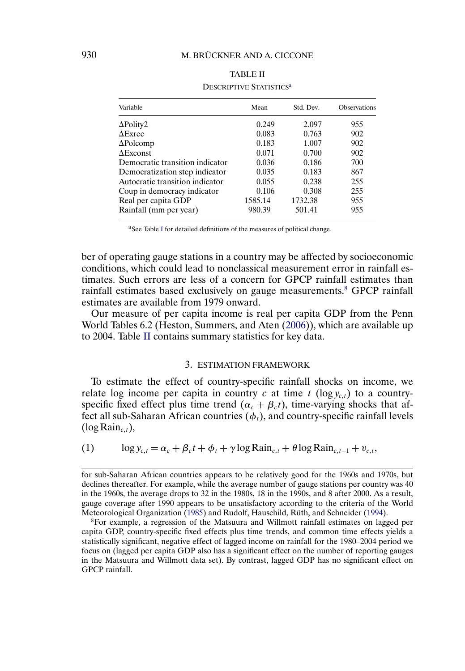<span id="page-7-0"></span>

| Variable                        | Mean    | Std. Dev. | <b>Observations</b> |
|---------------------------------|---------|-----------|---------------------|
| $\Delta$ Polity2                | 0.249   | 2.097     | 955                 |
| $\Delta$ Exrec                  | 0.083   | 0.763     | 902                 |
| $\Delta$ Polcomp                | 0.183   | 1.007     | 902                 |
| $\Delta$ Exconst                | 0.071   | 0.700     | 902                 |
| Democratic transition indicator | 0.036   | 0.186     | 700                 |
| Democratization step indicator  | 0.035   | 0.183     | 867                 |
| Autocratic transition indicator | 0.055   | 0.238     | 255                 |
| Coup in democracy indicator     | 0.106   | 0.308     | 255                 |
| Real per capita GDP             | 1585.14 | 1732.38   | 955                 |
| Rainfall (mm per year)          | 980.39  | 501.41    | 955                 |

| <b>TABLE II</b>                     |
|-------------------------------------|
| DESCRIPTIVE STATISTICS <sup>a</sup> |

aSee Table [I](#page-6-0) for detailed definitions of the measures of political change.

ber of operating gauge stations in a country may be affected by socioeconomic conditions, which could lead to nonclassical measurement error in rainfall estimates. Such errors are less of a concern for GPCP rainfall estimates than rainfall estimates based exclusively on gauge measurements.<sup>8</sup> GPCP rainfall estimates are available from 1979 onward.

Our measure of per capita income is real per capita GDP from the Penn World Tables 6.2 (Heston, Summers, and Aten [\(2006\)](#page-23-0)), which are available up to 2004. Table II contains summary statistics for key data.

### 3. ESTIMATION FRAMEWORK

To estimate the effect of country-specific rainfall shocks on income, we relate log income per capita in country c at time t (log  $y_{c,t}$ ) to a countryspecific fixed effect plus time trend ( $\alpha_c + \beta_c t$ ), time-varying shocks that affect all sub-Saharan African countries  $(\phi_t)$ , and country-specific rainfall levels  $(\log \text{Rain}_{c,t}),$ 

(1)  $\log y_{c,t} = \alpha_c + \beta_c t + \phi_t + \gamma \log \text{Rain}_{c,t} + \theta \log \text{Rain}_{c,t-1} + v_{c,t}$ 

for sub-Saharan African countries appears to be relatively good for the 1960s and 1970s, but declines thereafter. For example, while the average number of gauge stations per country was 40 in the 1960s, the average drops to 32 in the 1980s, 18 in the 1990s, and 8 after 2000. As a result, gauge coverage after 1990 appears to be unsatisfactory according to the criteria of the World Meteorological Organization [\(1985\)](#page-24-0) and Rudolf, Hauschild, Rüth, and Schneider [\(1994\)](#page-24-0).

<sup>8</sup>For example, a regression of the Matsuura and Willmott rainfall estimates on lagged per capita GDP, country-specific fixed effects plus time trends, and common time effects yields a statistically significant, negative effect of lagged income on rainfall for the 1980–2004 period we focus on (lagged per capita GDP also has a significant effect on the number of reporting gauges in the Matsuura and Willmott data set). By contrast, lagged GDP has no significant effect on GPCP rainfall.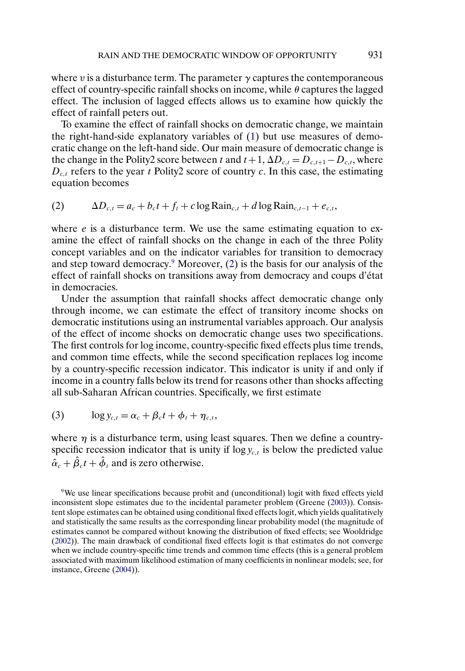<span id="page-8-0"></span>where v is a disturbance term. The parameter  $\gamma$  captures the contemporaneous effect of country-specific rainfall shocks on income, while  $\theta$  captures the lagged effect. The inclusion of lagged effects allows us to examine how quickly the effect of rainfall peters out.

To examine the effect of rainfall shocks on democratic change, we maintain the right-hand-side explanatory variables of [\(1\)](#page-7-0) but use measures of democratic change on the left-hand side. Our main measure of democratic change is the change in the Polity2 score between t and  $t + 1$ ,  $\Delta D_{c,t} = D_{c,t+1} - D_{c,t}$ , where  $D_{c,t}$  refers to the year t Polity2 score of country c. In this case, the estimating equation becomes

(2) 
$$
\Delta D_{c,t} = a_c + b_c t + f_t + c \log \text{Rain}_{c,t} + d \log \text{Rain}_{c,t-1} + e_{c,t},
$$

where  $e$  is a disturbance term. We use the same estimating equation to examine the effect of rainfall shocks on the change in each of the three Polity concept variables and on the indicator variables for transition to democracy and step toward democracy.9 Moreover, (2) is the basis for our analysis of the effect of rainfall shocks on transitions away from democracy and coups d'état in democracies.

Under the assumption that rainfall shocks affect democratic change only through income, we can estimate the effect of transitory income shocks on democratic institutions using an instrumental variables approach. Our analysis of the effect of income shocks on democratic change uses two specifications. The first controls for log income, country-specific fixed effects plus time trends, and common time effects, while the second specification replaces log income by a country-specific recession indicator. This indicator is unity if and only if income in a country falls below its trend for reasons other than shocks affecting all sub-Saharan African countries. Specifically, we first estimate

$$
(3) \qquad \log y_{c,t} = \alpha_c + \beta_c t + \phi_t + \eta_{c,t},
$$

where  $\eta$  is a disturbance term, using least squares. Then we define a countryspecific recession indicator that is unity if  $\log y_{c,t}$  is below the predicted value  $\hat{\alpha}_c + \hat{\beta}_c t + \hat{\phi}_t$  and is zero otherwise.

9We use linear specifications because probit and (unconditional) logit with fixed effects yield inconsistent slope estimates due to the incidental parameter problem (Greene [\(2003\)](#page-23-0)). Consistent slope estimates can be obtained using conditional fixed effects logit, which yields qualitatively and statistically the same results as the corresponding linear probability model (the magnitude of estimates cannot be compared without knowing the distribution of fixed effects; see Wooldridge [\(2002\)](#page-24-0)). The main drawback of conditional fixed effects logit is that estimates do not converge when we include country-specific time trends and common time effects (this is a general problem associated with maximum likelihood estimation of many coefficients in nonlinear models; see, for instance, Greene [\(2004\)](#page-23-0)).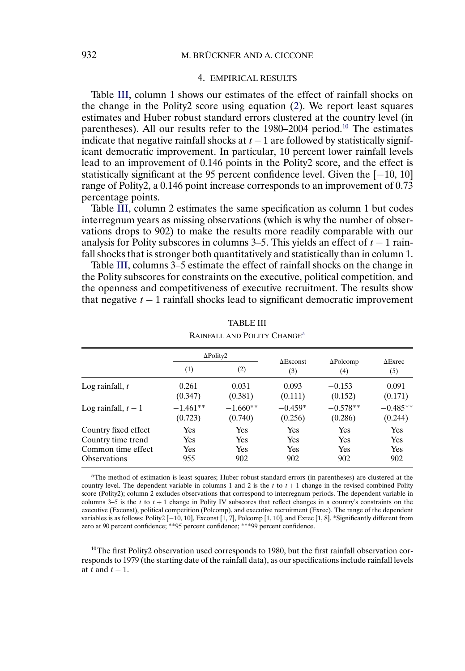## 4. EMPIRICAL RESULTS

<span id="page-9-0"></span>Table III, column 1 shows our estimates of the effect of rainfall shocks on the change in the Polity2 score using equation [\(2\)](#page-8-0). We report least squares estimates and Huber robust standard errors clustered at the country level (in parentheses). All our results refer to the  $1980-2004$  period.<sup>10</sup> The estimates indicate that negative rainfall shocks at  $t - 1$  are followed by statistically significant democratic improvement. In particular, 10 percent lower rainfall levels lead to an improvement of 0.146 points in the Polity2 score, and the effect is statistically significant at the 95 percent confidence level. Given the [−10, 10] range of Polity2, a 0.146 point increase corresponds to an improvement of 0.73 percentage points.

Table III, column 2 estimates the same specification as column 1 but codes interregnum years as missing observations (which is why the number of observations drops to 902) to make the results more readily comparable with our analysis for Polity subscores in columns 3–5. This yields an effect of  $t - 1$  rainfall shocks that is stronger both quantitatively and statistically than in column 1.

Table III, columns 3–5 estimate the effect of rainfall shocks on the change in the Polity subscores for constraints on the executive, political competition, and the openness and competitiveness of executive recruitment. The results show that negative  $t - 1$  rainfall shocks lead to significant democratic improvement

|                      |                  | $\Delta$ Polity2 | $\Delta$ Exconst |                         | $\Delta$ Exrec |
|----------------------|------------------|------------------|------------------|-------------------------|----------------|
|                      | $\left(1\right)$ | (2)              | (3)              | $\Delta$ Polcomp<br>(4) | (5)            |
| Log rainfall, $t$    | 0.261            | 0.031            | 0.093            | $-0.153$                | 0.091          |
|                      | (0.347)          | (0.381)          | (0.111)          | (0.152)                 | (0.171)        |
| Log rainfall, $t-1$  | $-1.461**$       | $-1.660**$       | $-0.459*$        | $-0.578**$              | $-0.485**$     |
|                      | (0.723)          | (0.740)          | (0.256)          | (0.286)                 | (0.244)        |
| Country fixed effect | Yes              | Yes              | Yes              | Yes                     | Yes            |
| Country time trend   | Yes              | Yes              | Yes              | Yes                     | <b>Yes</b>     |
| Common time effect   | Yes              | Yes              | Yes              | Yes                     | Yes            |
| <b>Observations</b>  | 955              | 902              | 902              | 902                     | 902            |

TABLE III RAINFALL AND POLITY CHANGE<sup>a</sup>

<sup>a</sup>The method of estimation is least squares; Huber robust standard errors (in parentheses) are clustered at the country level. The dependent variable in columns 1 and 2 is the  $t$  to  $t + 1$  change in the revised combined Polity score (Polity2); column 2 excludes observations that correspond to interregnum periods. The dependent variable in columns 3–5 is the t to  $t + 1$  change in Polity IV subscores that reflect changes in a country's constraints on the executive (Exconst), political competition (Polcomp), and executive recruitment (Exrec). The range of the dependent variables is as follows: Polity2 [−10, 10], Exconst [1, 7], Polcomp [1, 10], and Exrec [1, 8]. \*Significantly different from zero at 90 percent confidence; \*\*95 percent confidence; \*\*\*99 percent confidence.

 $10$ The first Polity2 observation used corresponds to 1980, but the first rainfall observation corresponds to 1979 (the starting date of the rainfall data), as our specifications include rainfall levels at t and  $t - 1$ .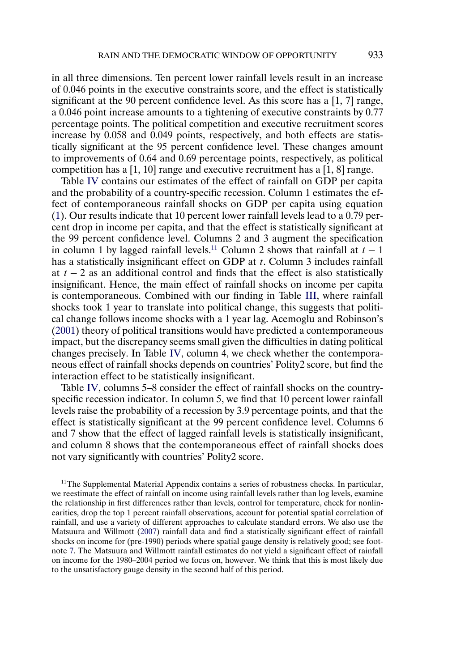<span id="page-10-0"></span>in all three dimensions. Ten percent lower rainfall levels result in an increase of 0.046 points in the executive constraints score, and the effect is statistically significant at the 90 percent confidence level. As this score has a [1, 7] range, a 0.046 point increase amounts to a tightening of executive constraints by 0.77 percentage points. The political competition and executive recruitment scores increase by 0.058 and 0.049 points, respectively, and both effects are statistically significant at the 95 percent confidence level. These changes amount to improvements of 0.64 and 0.69 percentage points, respectively, as political competition has a [1, 10] range and executive recruitment has a [1, 8] range.

Table [IV](#page-11-0) contains our estimates of the effect of rainfall on GDP per capita and the probability of a country-specific recession. Column 1 estimates the effect of contemporaneous rainfall shocks on GDP per capita using equation [\(1\)](#page-7-0). Our results indicate that 10 percent lower rainfall levels lead to a 0.79 percent drop in income per capita, and that the effect is statistically significant at the 99 percent confidence level. Columns 2 and 3 augment the specification in column 1 by lagged rainfall levels.<sup>11</sup> Column 2 shows that rainfall at  $t - 1$ has a statistically insignificant effect on GDP at t. Column 3 includes rainfall at  $t - 2$  as an additional control and finds that the effect is also statistically insignificant. Hence, the main effect of rainfall shocks on income per capita is contemporaneous. Combined with our finding in Table [III,](#page-9-0) where rainfall shocks took 1 year to translate into political change, this suggests that political change follows income shocks with a 1 year lag. Acemoglu and Robinson's [\(2001\)](#page-22-0) theory of political transitions would have predicted a contemporaneous impact, but the discrepancy seems small given the difficulties in dating political changes precisely. In Table [IV,](#page-11-0) column 4, we check whether the contemporaneous effect of rainfall shocks depends on countries' Polity2 score, but find the interaction effect to be statistically insignificant.

Table [IV,](#page-11-0) columns 5–8 consider the effect of rainfall shocks on the countryspecific recession indicator. In column 5, we find that 10 percent lower rainfall levels raise the probability of a recession by 3.9 percentage points, and that the effect is statistically significant at the 99 percent confidence level. Columns 6 and 7 show that the effect of lagged rainfall levels is statistically insignificant, and column 8 shows that the contemporaneous effect of rainfall shocks does not vary significantly with countries' Polity2 score.

 $11$ The Supplemental Material Appendix contains a series of robustness checks. In particular, we reestimate the effect of rainfall on income using rainfall levels rather than log levels, examine the relationship in first differences rather than levels, control for temperature, check for nonlinearities, drop the top 1 percent rainfall observations, account for potential spatial correlation of rainfall, and use a variety of different approaches to calculate standard errors. We also use the Matsuura and Willmott [\(2007\)](#page-23-0) rainfall data and find a statistically significant effect of rainfall shocks on income for (pre-1990) periods where spatial gauge density is relatively good; see footnote [7.](#page-7-0) The Matsuura and Willmott rainfall estimates do not yield a significant effect of rainfall on income for the 1980–2004 period we focus on, however. We think that this is most likely due to the unsatisfactory gauge density in the second half of this period.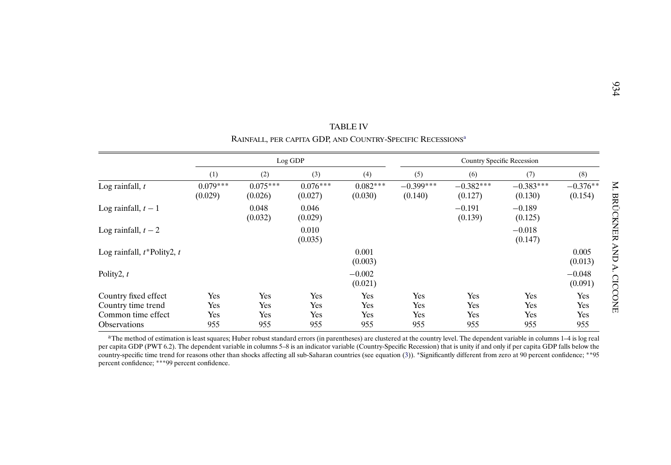<span id="page-11-0"></span>

|                                  |                       |                       |                       | TABLE IV                                                               |                        |                                   |                        |                       |
|----------------------------------|-----------------------|-----------------------|-----------------------|------------------------------------------------------------------------|------------------------|-----------------------------------|------------------------|-----------------------|
|                                  |                       |                       |                       | RAINFALL, PER CAPITA GDP, AND COUNTRY-SPECIFIC RECESSIONS <sup>a</sup> |                        |                                   |                        |                       |
|                                  |                       |                       | Log GDP               |                                                                        |                        | <b>Country Specific Recession</b> |                        |                       |
|                                  | (1)                   | (2)                   | (3)                   | (4)                                                                    | (5)                    | (6)                               | (7)                    | (8)                   |
| Log rainfall, $t$                | $0.079***$<br>(0.029) | $0.075***$<br>(0.026) | $0.076***$<br>(0.027) | $0.082***$<br>(0.030)                                                  | $-0.399***$<br>(0.140) | $-0.382***$<br>(0.127)            | $-0.383***$<br>(0.130) | $-0.376**$<br>(0.154) |
| Log rainfall, $t-1$              |                       | 0.048<br>(0.032)      | 0.046<br>(0.029)      |                                                                        |                        | $-0.191$<br>(0.139)               | $-0.189$<br>(0.125)    |                       |
| Log rainfall, $t-2$              |                       |                       | 0.010<br>(0.035)      |                                                                        |                        |                                   | $-0.018$<br>(0.147)    |                       |
| Log rainfall, $t^*$ Polity2, $t$ |                       |                       |                       | 0.001<br>(0.003)                                                       |                        |                                   |                        | 0.005<br>(0.013)      |
| Polity2, $t$                     |                       |                       |                       | $-0.002$<br>(0.021)                                                    |                        |                                   |                        | $-0.048$<br>(0.091)   |
| Country fixed effect             | Yes                   | Yes                   | Yes                   | Yes                                                                    | Yes                    | Yes                               | Yes                    | Yes                   |
| Country time trend               | Yes                   | Yes                   | Yes                   | Yes                                                                    | Yes                    | Yes                               | Yes                    | Yes                   |
| Common time effect               | Yes                   | Yes                   | <b>Yes</b>            | Yes                                                                    | Yes                    | Yes                               | Yes                    | Yes                   |
| <b>Observations</b>              | 955                   | 955                   | 955                   | 955                                                                    | 955                    | 955                               | 955                    | 955                   |

<sup>a</sup>The method of estimation is least squares; Huber robust standard errors (in parentheses) are clustered at the country level. The dependent variable in columns 1–4 is log real per capita GDP (PWT 6.2). The dependent variable in columns 5–8 is an indicator variable (Country-Specific Recession) that is unity if and only if per capita GDP falls below the country-specific time trend for reasons other than shocks affecting all sub-Saharan countries (see equation ([3](#page-8-0))). \*Significantly different from zero at 90 percen<sup>t</sup> confidence; \*\*95 percen<sup>t</sup> confidence; \*\*\*99 percen<sup>t</sup> confidence.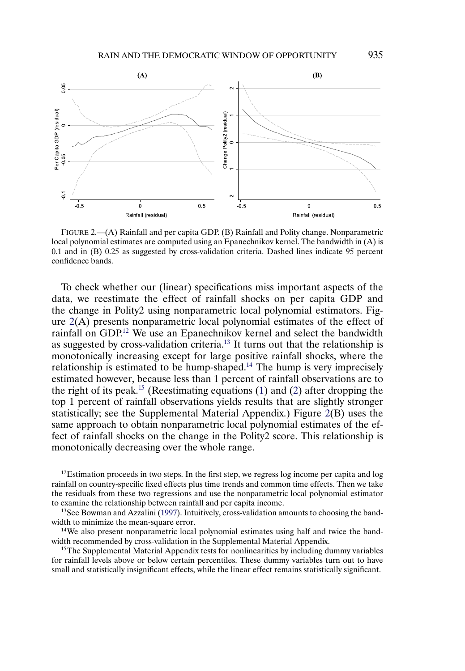<span id="page-12-0"></span>

FIGURE 2.—(A) Rainfall and per capita GDP. (B) Rainfall and Polity change. Nonparametric local polynomial estimates are computed using an Epanechnikov kernel. The bandwidth in (A) is 0.1 and in (B) 0.25 as suggested by cross-validation criteria. Dashed lines indicate 95 percent confidence bands.

To check whether our (linear) specifications miss important aspects of the data, we reestimate the effect of rainfall shocks on per capita GDP and the change in Polity2 using nonparametric local polynomial estimators. Figure 2(A) presents nonparametric local polynomial estimates of the effect of rainfall on GDP.12 We use an Epanechnikov kernel and select the bandwidth as suggested by cross-validation criteria.13 It turns out that the relationship is monotonically increasing except for large positive rainfall shocks, where the relationship is estimated to be hump-shaped.14 The hump is very imprecisely estimated however, because less than 1 percent of rainfall observations are to the right of its peak.<sup>15</sup> (Reestimating equations [\(1\)](#page-7-0) and [\(2\)](#page-8-0) after dropping the top 1 percent of rainfall observations yields results that are slightly stronger statistically; see the Supplemental Material Appendix.) Figure 2(B) uses the same approach to obtain nonparametric local polynomial estimates of the effect of rainfall shocks on the change in the Polity2 score. This relationship is monotonically decreasing over the whole range.

<sup>12</sup>Estimation proceeds in two steps. In the first step, we regress log income per capita and log rainfall on country-specific fixed effects plus time trends and common time effects. Then we take the residuals from these two regressions and use the nonparametric local polynomial estimator to examine the relationship between rainfall and per capita income.

<sup>13</sup>See Bowman and Azzalini [\(1997\)](#page-22-0). Intuitively, cross-validation amounts to choosing the bandwidth to minimize the mean-square error.

<sup>14</sup>We also present nonparametric local polynomial estimates using half and twice the bandwidth recommended by cross-validation in the Supplemental Material Appendix.

 $15$ The Supplemental Material Appendix tests for nonlinearities by including dummy variables for rainfall levels above or below certain percentiles. These dummy variables turn out to have small and statistically insignificant effects, while the linear effect remains statistically significant.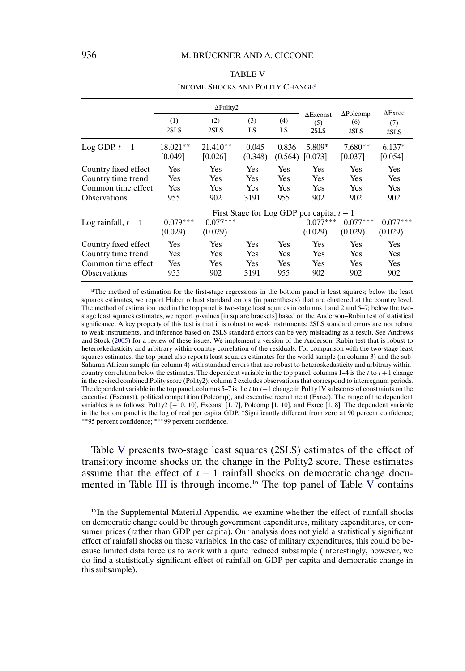<span id="page-13-0"></span>

|                                                                                         |                          | $\Delta$ Polity2         |                                  |                          |                                                                    |                                 | $\Delta$ Exrec           |
|-----------------------------------------------------------------------------------------|--------------------------|--------------------------|----------------------------------|--------------------------|--------------------------------------------------------------------|---------------------------------|--------------------------|
|                                                                                         | (1)<br>2SLS              | (2)<br>2SLS              | (3)<br>LS                        | (4)<br>LS                | $\Delta$ Exconst<br>(5)<br>2SLS                                    | $\Delta$ Polcomp<br>(6)<br>2SLS | (7)<br>2SLS              |
| Log GDP, $t-1$                                                                          | $-18.021**$<br>[0.049]   | $-21.410**$<br>[0.026]   | $-0.045$<br>(0.348)              | $-0.836 - 5.809*$        | $(0.564)$ $[0.073]$                                                | $-7.680**$<br>[0.037]           | $-6.137*$<br>[0.054]     |
| Country fixed effect<br>Country time trend<br>Common time effect<br><b>Observations</b> | Yes<br>Yes<br>Yes<br>955 | Yes<br>Yes<br>Yes<br>902 | Yes<br>Yes<br><b>Yes</b><br>3191 | Yes<br>Yes<br>Yes<br>955 | Yes<br>Yes<br><b>Yes</b><br>902                                    | Yes<br>Yes<br>Yes<br>902        | Yes<br>Yes<br>Yes<br>902 |
| Log rainfall, $t-1$                                                                     | $0.079***$<br>(0.029)    | $0.077***$<br>(0.029)    |                                  |                          | First Stage for Log GDP per capita, $t-1$<br>$0.077***$<br>(0.029) | $0.077***$<br>(0.029)           | $0.077***$<br>(0.029)    |
| Country fixed effect<br>Country time trend<br>Common time effect<br><b>Observations</b> | Yes<br>Yes<br>Yes<br>955 | Yes<br>Yes<br>Yes<br>902 | Yes<br><b>Yes</b><br>Yes<br>3191 | Yes<br>Yes<br>Yes<br>955 | Yes<br>Yes<br>Yes<br>902                                           | Yes<br>Yes<br><b>Yes</b><br>902 | Yes<br>Yes<br>Yes<br>902 |

TABLE V INCOME SHOCKS AND POLITY CHANGE<sup>a</sup>

<sup>a</sup>The method of estimation for the first-stage regressions in the bottom panel is least squares; below the least squares estimates, we report Huber robust standard errors (in parentheses) that are clustered at the country level. The method of estimation used in the top panel is two-stage least squares in columns 1 and 2 and 5–7; below the twostage least squares estimates, we report p-values [in square brackets] based on the Anderson–Rubin test of statistical significance. A key property of this test is that it is robust to weak instruments; 2SLS standard errors are not robust to weak instruments, and inference based on 2SLS standard errors can be very misleading as a result. See Andrews and Stock [\(2005\)](#page-22-0) for a review of these issues. We implement a version of the Anderson–Rubin test that is robust to heteroskedasticity and arbitrary within-country correlation of the residuals. For comparison with the two-stage least squares estimates, the top panel also reports least squares estimates for the world sample (in column 3) and the sub-Saharan African sample (in column 4) with standard errors that are robust to heteroskedasticity and arbitrary withincountry correlation below the estimates. The dependent variable in the top panel, columns  $1-4$  is the t to  $t + 1$  change in the revised combined Polity score (Polity2); column 2 excludes observations that correspond to interregnum periods. The dependent variable in the top panel, columns  $5-7$  is the t to  $t+1$  change in Polity IV subscores of constraints on the executive (Exconst), political competition (Polcomp), and executive recruitment (Exrec). The range of the dependent variables is as follows: Polity2 [−10, 10], Exconst [1, 7], Polcomp [1, 10], and Exrec [1, 8]. The dependent variable in the bottom panel is the log of real per capita GDP. \*Significantly different from zero at 90 percent confidence; \*\*95 percent confidence; \*\*\*99 percent confidence.

Table V presents two-stage least squares (2SLS) estimates of the effect of transitory income shocks on the change in the Polity2 score. These estimates assume that the effect of  $t - 1$  rainfall shocks on democratic change documented in Table [III](#page-9-0) is through income.16 The top panel of Table V contains

<sup>16</sup>In the Supplemental Material Appendix, we examine whether the effect of rainfall shocks on democratic change could be through government expenditures, military expenditures, or consumer prices (rather than GDP per capita). Our analysis does not yield a statistically significant effect of rainfall shocks on these variables. In the case of military expenditures, this could be because limited data force us to work with a quite reduced subsample (interestingly, however, we do find a statistically significant effect of rainfall on GDP per capita and democratic change in this subsample).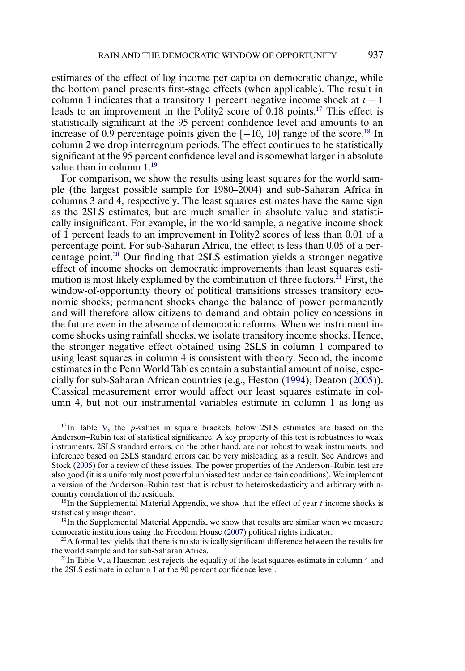<span id="page-14-0"></span>estimates of the effect of log income per capita on democratic change, while the bottom panel presents first-stage effects (when applicable). The result in column 1 indicates that a transitory 1 percent negative income shock at  $t - 1$ leads to an improvement in the Polity2 score of 0.18 points.17 This effect is statistically significant at the 95 percent confidence level and amounts to an increase of 0.9 percentage points given the  $[-10, 10]$  range of the score.<sup>18</sup> In column 2 we drop interregnum periods. The effect continues to be statistically significant at the 95 percent confidence level and is somewhat larger in absolute value than in column  $1.^{19}$ 

For comparison, we show the results using least squares for the world sample (the largest possible sample for 1980–2004) and sub-Saharan Africa in columns 3 and 4, respectively. The least squares estimates have the same sign as the 2SLS estimates, but are much smaller in absolute value and statistically insignificant. For example, in the world sample, a negative income shock of 1 percent leads to an improvement in Polity2 scores of less than 0.01 of a percentage point. For sub-Saharan Africa, the effect is less than 0.05 of a percentage point.20 Our finding that 2SLS estimation yields a stronger negative effect of income shocks on democratic improvements than least squares estimation is most likely explained by the combination of three factors. $^{21}$  First, the window-of-opportunity theory of political transitions stresses transitory economic shocks; permanent shocks change the balance of power permanently and will therefore allow citizens to demand and obtain policy concessions in the future even in the absence of democratic reforms. When we instrument income shocks using rainfall shocks, we isolate transitory income shocks. Hence, the stronger negative effect obtained using 2SLS in column 1 compared to using least squares in column 4 is consistent with theory. Second, the income estimates in the Penn World Tables contain a substantial amount of noise, especially for sub-Saharan African countries (e.g., Heston [\(1994\)](#page-23-0), Deaton [\(2005\)](#page-23-0)). Classical measurement error would affect our least squares estimate in column 4, but not our instrumental variables estimate in column 1 as long as

 $17$ In Table [V,](#page-13-0) the *p*-values in square brackets below 2SLS estimates are based on the Anderson–Rubin test of statistical significance. A key property of this test is robustness to weak instruments. 2SLS standard errors, on the other hand, are not robust to weak instruments, and inference based on 2SLS standard errors can be very misleading as a result. See Andrews and Stock [\(2005\)](#page-22-0) for a review of these issues. The power properties of the Anderson–Rubin test are also good (it is a uniformly most powerful unbiased test under certain conditions). We implement a version of the Anderson–Rubin test that is robust to heteroskedasticity and arbitrary withincountry correlation of the residuals.

<sup>18</sup>In the Supplemental Material Appendix, we show that the effect of year t income shocks is statistically insignificant.

<sup>19</sup>In the Supplemental Material Appendix, we show that results are similar when we measure democratic institutions using the Freedom House [\(2007\)](#page-23-0) political rights indicator.

 $20A$  formal test yields that there is no statistically significant difference between the results for the world sample and for sub-Saharan Africa.

 $^{21}$ In Table [V,](#page-13-0) a Hausman test rejects the equality of the least squares estimate in column 4 and the 2SLS estimate in column 1 at the 90 percent confidence level.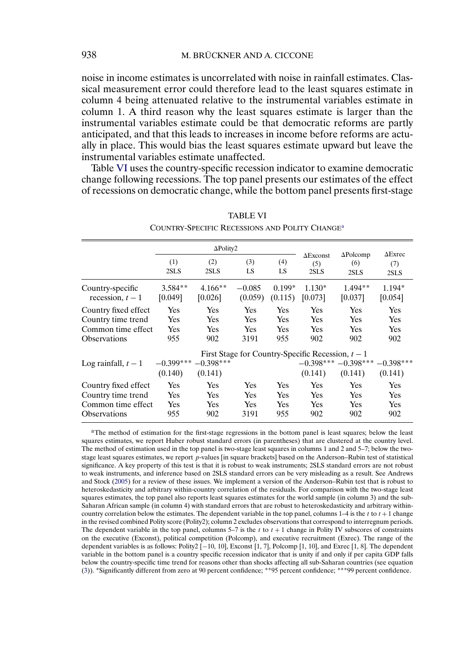<span id="page-15-0"></span>noise in income estimates is uncorrelated with noise in rainfall estimates. Classical measurement error could therefore lead to the least squares estimate in column 4 being attenuated relative to the instrumental variables estimate in column 1. A third reason why the least squares estimate is larger than the instrumental variables estimate could be that democratic reforms are partly anticipated, and that this leads to increases in income before reforms are actually in place. This would bias the least squares estimate upward but leave the instrumental variables estimate unaffected.

Table VI uses the country-specific recession indicator to examine democratic change following recessions. The top panel presents our estimates of the effect of recessions on democratic change, while the bottom panel presents first-stage

|                                                                                         |                          | $\Delta$ Polity2                |                                         |                          |                                                                |                                 | $\Delta$ Exrec                         |
|-----------------------------------------------------------------------------------------|--------------------------|---------------------------------|-----------------------------------------|--------------------------|----------------------------------------------------------------|---------------------------------|----------------------------------------|
|                                                                                         | (1)<br>2SLS              | (2)<br>2SLS                     | (3)<br>LS                               | (4)<br>LS                | $\Delta$ Exconst<br>(5)<br>2SLS                                | $\Delta$ Polcomp<br>(6)<br>2SLS | (7)<br>2SLS                            |
| Country-specific<br>recession, $t-1$                                                    | $3.584**$<br>[0.049]     | $4.166**$<br>[0.026]            | $-0.085$<br>(0.059)                     | $0.199*$<br>(0.115)      | $1.130*$<br>[0.073]                                            | $1.494**$<br>[0.037]            | 1.194*<br>[0.054]                      |
| Country fixed effect<br>Country time trend<br>Common time effect<br><b>Observations</b> | Yes<br>Yes<br>Yes<br>955 | Yes<br>Yes<br><b>Yes</b><br>902 | Yes<br><b>Yes</b><br><b>Yes</b><br>3191 | Yes<br>Yes<br>Yes<br>955 | Yes<br>Yes<br>Yes<br>902                                       | Yes<br>Yes<br>Yes<br>902        | Yes<br><b>Yes</b><br><b>Yes</b><br>902 |
| Log rainfall, $t-1$                                                                     | $-0.399***$<br>(0.140)   | $-0.398***$<br>(0.141)          |                                         |                          | First Stage for Country-Specific Recession, $t - 1$<br>(0.141) | $-0.398***-0.398***$<br>(0.141) | $-0.398***$<br>(0.141)                 |
| Country fixed effect<br>Country time trend<br>Common time effect<br><b>Observations</b> | Yes<br>Yes<br>Yes<br>955 | Yes<br>Yes<br>Yes<br>902        | Yes<br>Yes<br>Yes<br>3191               | Yes<br>Yes<br>Yes<br>955 | Yes<br>Yes<br>Yes<br>902                                       | Yes<br>Yes<br>Yes<br>902        | Yes.<br>Yes.<br><b>Yes</b><br>902      |

TABLE VI COUNTRY-SPECIFIC RECESSIONS AND POLITY CHANGEa

<sup>a</sup>The method of estimation for the first-stage regressions in the bottom panel is least squares; below the least squares estimates, we report Huber robust standard errors (in parentheses) that are clustered at the country level. The method of estimation used in the top panel is two-stage least squares in columns 1 and 2 and 5–7; below the twostage least squares estimates, we report p-values [in square brackets] based on the Anderson–Rubin test of statistical significance. A key property of this test is that it is robust to weak instruments; 2SLS standard errors are not robust to weak instruments, and inference based on 2SLS standard errors can be very misleading as a result. See Andrews and Stock [\(2005\)](#page-22-0) for a review of these issues. We implement a version of the Anderson–Rubin test that is robust to heteroskedasticity and arbitrary within-country correlation of the residuals. For comparison with the two-stage least squares estimates, the top panel also reports least squares estimates for the world sample (in column 3) and the sub-Saharan African sample (in column 4) with standard errors that are robust to heteroskedasticity and arbitrary withincountry correlation below the estimates. The dependent variable in the top panel, columns  $1-4$  is the t to  $t + 1$  change in the revised combined Polity score (Polity2); column 2 excludes observations that correspond to interregnum periods. The dependent variable in the top panel, columns  $5-7$  is the t to  $t + 1$  change in Polity IV subscores of constraints on the executive (Exconst), political competition (Polcomp), and executive recruitment (Exrec). The range of the dependent variables is as follows: Polity2 [−10, 10], Exconst [1, 7], Polcomp [1, 10], and Exrec [1, 8]. The dependent variable in the bottom panel is a country specific recession indicator that is unity if and only if per capita GDP falls below the country-specific time trend for reasons other than shocks affecting all sub-Saharan countries (see equation [\(3\)](#page-8-0)). \*Significantly different from zero at 90 percent confidence; \*\*95 percent confidence; \*\*\*99 percent confidence.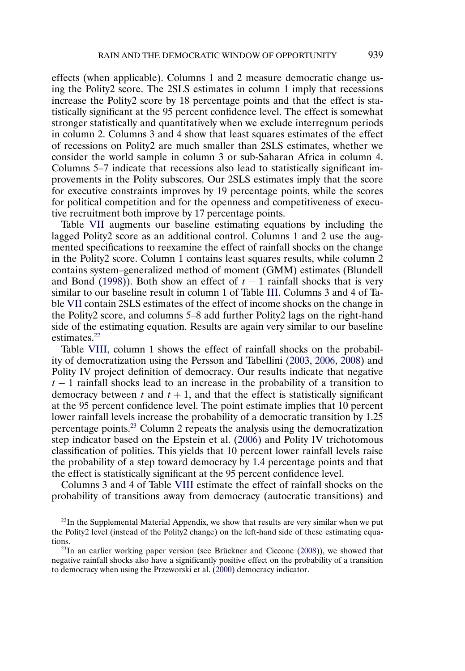<span id="page-16-0"></span>effects (when applicable). Columns 1 and 2 measure democratic change using the Polity2 score. The 2SLS estimates in column 1 imply that recessions increase the Polity2 score by 18 percentage points and that the effect is statistically significant at the 95 percent confidence level. The effect is somewhat stronger statistically and quantitatively when we exclude interregnum periods in column 2. Columns 3 and 4 show that least squares estimates of the effect of recessions on Polity2 are much smaller than 2SLS estimates, whether we consider the world sample in column 3 or sub-Saharan Africa in column 4. Columns 5–7 indicate that recessions also lead to statistically significant improvements in the Polity subscores. Our 2SLS estimates imply that the score for executive constraints improves by 19 percentage points, while the scores for political competition and for the openness and competitiveness of executive recruitment both improve by 17 percentage points.

Table [VII](#page-17-0) augments our baseline estimating equations by including the lagged Polity2 score as an additional control. Columns 1 and 2 use the augmented specifications to reexamine the effect of rainfall shocks on the change in the Polity2 score. Column 1 contains least squares results, while column 2 contains system–generalized method of moment (GMM) estimates (Blundell and Bond [\(1998\)](#page-22-0)). Both show an effect of  $t - 1$  rainfall shocks that is very similar to our baseline result in column 1 of Table [III.](#page-9-0) Columns 3 and 4 of Table [VII](#page-17-0) contain 2SLS estimates of the effect of income shocks on the change in the Polity2 score, and columns 5–8 add further Polity2 lags on the right-hand side of the estimating equation. Results are again very similar to our baseline estimates.22

Table [VIII,](#page-18-0) column 1 shows the effect of rainfall shocks on the probability of democratization using the Persson and Tabellini [\(2003,](#page-23-0) [2006,](#page-23-0) [2008\)](#page-24-0) and Polity IV project definition of democracy. Our results indicate that negative  $t - 1$  rainfall shocks lead to an increase in the probability of a transition to democracy between t and  $t + 1$ , and that the effect is statistically significant at the 95 percent confidence level. The point estimate implies that 10 percent lower rainfall levels increase the probability of a democratic transition by 1.25 percentage points.23 Column 2 repeats the analysis using the democratization step indicator based on the Epstein et al. [\(2006\)](#page-23-0) and Polity IV trichotomous classification of polities. This yields that 10 percent lower rainfall levels raise the probability of a step toward democracy by 1.4 percentage points and that the effect is statistically significant at the 95 percent confidence level.

Columns 3 and 4 of Table [VIII](#page-18-0) estimate the effect of rainfall shocks on the probability of transitions away from democracy (autocratic transitions) and

 $^{22}$ In the Supplemental Material Appendix, we show that results are very similar when we put the Polity2 level (instead of the Polity2 change) on the left-hand side of these estimating equations.

 $^{23}$ In an earlier working paper version (see Brückner and Ciccone [\(2008\)](#page-22-0)), we showed that negative rainfall shocks also have a significantly positive effect on the probability of a transition to democracy when using the Przeworski et al. [\(2000\)](#page-24-0) democracy indicator.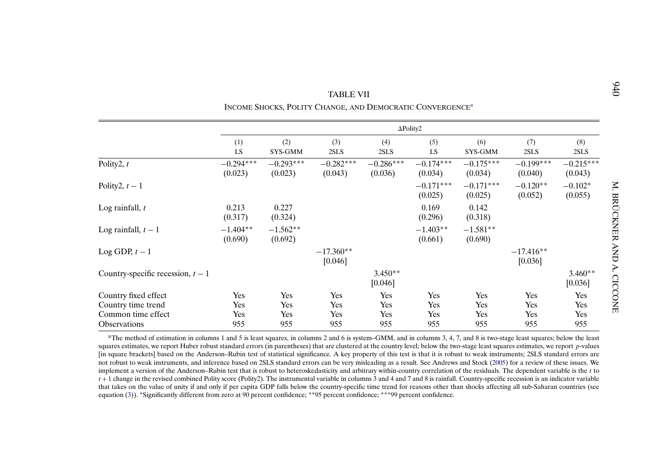<span id="page-17-0"></span>

|                                     | <b>TABLE VII</b>       |                                                                       |                        |                        |                        |                        |                        |                        |  |
|-------------------------------------|------------------------|-----------------------------------------------------------------------|------------------------|------------------------|------------------------|------------------------|------------------------|------------------------|--|
|                                     |                        | INCOME SHOCKS, POLITY CHANGE, AND DEMOCRATIC CONVERGENCE <sup>a</sup> |                        |                        |                        |                        |                        |                        |  |
|                                     |                        |                                                                       |                        |                        | $\Delta$ Polity2       |                        |                        |                        |  |
|                                     | (1)<br>LS              | (2)<br>SYS-GMM                                                        | (3)<br>2SLS            | (4)<br>2SLS            | (5)<br>LS              | (6)<br>SYS-GMM         | (7)<br>2SLS            | (8)<br>2SLS            |  |
| Polity2, $t$                        | $-0.294***$<br>(0.023) | $-0.293***$<br>(0.023)                                                | $-0.282***$<br>(0.043) | $-0.286***$<br>(0.036) | $-0.174***$<br>(0.034) | $-0.175***$<br>(0.034) | $-0.199***$<br>(0.040) | $-0.215***$<br>(0.043) |  |
| Polity2, $t-1$                      |                        |                                                                       |                        |                        | $-0.171***$<br>(0.025) | $-0.171***$<br>(0.025) | $-0.120**$<br>(0.052)  | $-0.102*$<br>(0.055)   |  |
| Log rainfall, $t$                   | 0.213<br>(0.317)       | 0.227<br>(0.324)                                                      |                        |                        | 0.169<br>(0.296)       | 0.142<br>(0.318)       |                        |                        |  |
| Log rainfall, $t-1$                 | $-1.404**$<br>(0.690)  | $-1.562**$<br>(0.692)                                                 |                        |                        | $-1.403**$<br>(0.661)  | $-1.581**$<br>(0.690)  |                        |                        |  |
| Log GDP, $t-1$                      |                        |                                                                       | $-17.360**$<br>[0.046] |                        |                        |                        | $-17.416**$<br>[0.036] |                        |  |
| Country-specific recession, $t - 1$ |                        |                                                                       |                        | $3.450**$<br>[0.046]   |                        |                        |                        | $3.460**$<br>[0.036]   |  |
| Country fixed effect                | Yes                    | Yes                                                                   | Yes                    | Yes                    | Yes                    | Yes                    | Yes                    | Yes                    |  |
| Country time trend                  | Yes                    | Yes                                                                   | Yes                    | Yes                    | Yes                    | Yes                    | Yes                    | Yes                    |  |
| Common time effect<br>Observations  | Yes<br>955             | Yes<br>955                                                            | Yes<br>955             | Yes<br>955             | Yes<br>955             | Yes<br>955             | Yes<br>955             | Yes<br>955             |  |

<sup>a</sup>The method of estimation in columns 1 and 5 is least squares, in columns 2 and 6 is system–GMM, and in columns 3, 4, 7, and 8 is two-stage least squares; below the least squares estimates, we report Huber robust standard errors (in parentheses) that are clustered at the country level; below the two-stage least squares estimates, we report p-values [in square brackets] based on the Anderson–Rubin test of statistical significance. A key property of this test is that it is robust to weak instruments; 2SLS standard errors are not robust to weak instruments, and inference based on 2SLS standard errors can be very misleading as <sup>a</sup> result. See Andrews and Stock ([2005](#page-22-0)) for <sup>a</sup> review of these issues. We implement a version of the Anderson–Rubin test that is robust to heteroskedasticity and arbitrary within-country correlation of the residuals. The dependent variable is the t to  $t+1$  change in the revised combined Polity score (Polity2). The instrumental variable in columns 3 and 4 and 7 and 8 is rainfall. Country-specific recession is an indicator variable that takes on the value of unity if and only if per capita GDP falls below the country-specific time trend for reasons other than shocks affecting all sub-Saharan countries (see equation ([3](#page-8-0))). \*Significantly different from zero at 90 percen<sup>t</sup> confidence; \*\*95 percen<sup>t</sup> confidence; \*\*\*99 percen<sup>t</sup> confidence.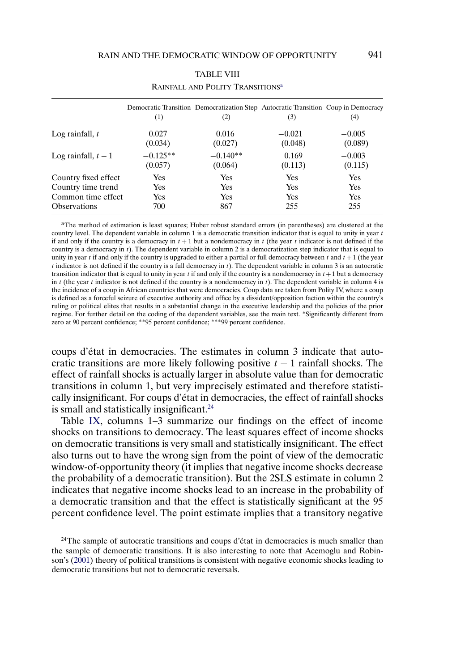<span id="page-18-0"></span>

|                      | (1)        | Democratic Transition Democratization Step Autocratic Transition Coup in Democracy<br>(2) | (3)      | (4)      |
|----------------------|------------|-------------------------------------------------------------------------------------------|----------|----------|
| Log rainfall, $t$    | 0.027      | 0.016                                                                                     | $-0.021$ | $-0.005$ |
|                      | (0.034)    | (0.027)                                                                                   | (0.048)  | (0.089)  |
| Log rainfall, $t-1$  | $-0.125**$ | $-0.140**$                                                                                | 0.169    | $-0.003$ |
|                      | (0.057)    | (0.064)                                                                                   | (0.113)  | (0.115)  |
| Country fixed effect | Yes        | Yes                                                                                       | Yes      | Yes      |
| Country time trend   | Yes        | Yes                                                                                       | Yes      | Yes      |
| Common time effect   | Yes        | Yes                                                                                       | Yes      | Yes      |
| <b>Observations</b>  | 700        | 867                                                                                       | 255      | 255      |

## TABLE VIII RAINFALL AND POLITY TRANSITIONS<sup>a</sup>

<sup>a</sup>The method of estimation is least squares; Huber robust standard errors (in parentheses) are clustered at the country level. The dependent variable in column 1 is a democratic transition indicator that is equal to unity in year  $t$ if and only if the country is a democracy in  $t + 1$  but a nondemocracy in t (the year t indicator is not defined if the country is a democracy in  $t$ ). The dependent variable in column 2 is a democratization step indicator that is equal to unity in year  $t$  if and only if the country is upgraded to either a partial or full democracy between  $t$  and  $t + 1$  (the year t indicator is not defined if the country is a full democracy in  $t$ ). The dependent variable in column 3 is an autocratic transition indicator that is equal to unity in year  $t$  if and only if the country is a nondemocracy in  $t + 1$  but a democracy in  $t$  (the year t indicator is not defined if the country is a nondemocracy in t). The dependent variable in column 4 is the incidence of a coup in African countries that were democracies. Coup data are taken from Polity IV, where a coup is defined as a forceful seizure of executive authority and office by a dissident/opposition faction within the country's ruling or political elites that results in a substantial change in the executive leadership and the policies of the prior regime. For further detail on the coding of the dependent variables, see the main text. \*Significantly different from zero at 90 percent confidence; \*\*95 percent confidence; \*\*\*99 percent confidence.

coups d'état in democracies. The estimates in column 3 indicate that autocratic transitions are more likely following positive  $t - 1$  rainfall shocks. The effect of rainfall shocks is actually larger in absolute value than for democratic transitions in column 1, but very imprecisely estimated and therefore statistically insignificant. For coups d'état in democracies, the effect of rainfall shocks is small and statistically insignificant.<sup>24</sup>

Table [IX,](#page-19-0) columns 1–3 summarize our findings on the effect of income shocks on transitions to democracy. The least squares effect of income shocks on democratic transitions is very small and statistically insignificant. The effect also turns out to have the wrong sign from the point of view of the democratic window-of-opportunity theory (it implies that negative income shocks decrease the probability of a democratic transition). But the 2SLS estimate in column 2 indicates that negative income shocks lead to an increase in the probability of a democratic transition and that the effect is statistically significant at the 95 percent confidence level. The point estimate implies that a transitory negative

<sup>24</sup>The sample of autocratic transitions and coups d'état in democracies is much smaller than the sample of democratic transitions. It is also interesting to note that Acemoglu and Robinson's [\(2001\)](#page-22-0) theory of political transitions is consistent with negative economic shocks leading to democratic transitions but not to democratic reversals.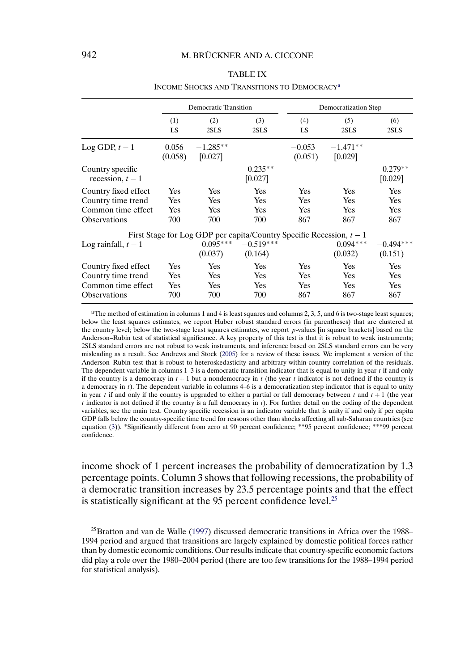#### TABLE IX

<span id="page-19-0"></span>

|                                                                                         |                                 | Democratic Transition    |                                                                                                |                                               | Democratization Step                          |                                               |
|-----------------------------------------------------------------------------------------|---------------------------------|--------------------------|------------------------------------------------------------------------------------------------|-----------------------------------------------|-----------------------------------------------|-----------------------------------------------|
|                                                                                         | (1)<br>LS                       | (2)<br>2SLS              | (3)<br>2SLS                                                                                    | (4)<br>LS                                     | (5)<br>2SLS                                   | (6)<br>2SLS                                   |
| Log GDP, $t-1$                                                                          | 0.056<br>(0.058)                | $-1.285**$<br>[0.027]    |                                                                                                | $-0.053$<br>(0.051)                           | $-1.471**$<br>[0.029]                         |                                               |
| Country specific<br>recession, $t-1$                                                    |                                 |                          | $0.235**$<br>[0.027]                                                                           |                                               |                                               | $0.279**$<br>[0.029]                          |
| Country fixed effect<br>Country time trend<br>Common time effect<br><b>Observations</b> | <b>Yes</b><br>Yes<br>Yes<br>700 | Yes<br>Yes<br>Yes<br>700 | <b>Yes</b><br>Yes<br><b>Yes</b><br>700                                                         | <b>Yes</b><br><b>Yes</b><br><b>Yes</b><br>867 | <b>Yes</b><br><b>Yes</b><br><b>Yes</b><br>867 | <b>Yes</b><br><b>Yes</b><br>Yes<br>867        |
| Log rainfall, $t-1$                                                                     |                                 | $0.095***$<br>(0.037)    | First Stage for Log GDP per capita/Country Specific Recession, $t-1$<br>$-0.519***$<br>(0.164) |                                               | $0.094***$<br>(0.032)                         | $-0.494***$<br>(0.151)                        |
| Country fixed effect<br>Country time trend<br>Common time effect<br><b>Observations</b> | <b>Yes</b><br>Yes<br>Yes<br>700 | Yes<br>Yes<br>Yes<br>700 | <b>Yes</b><br><b>Yes</b><br><b>Yes</b><br>700                                                  | <b>Yes</b><br>Yes<br>Yes<br>867               | <b>Yes</b><br><b>Yes</b><br><b>Yes</b><br>867 | <b>Yes</b><br><b>Yes</b><br><b>Yes</b><br>867 |

#### INCOME SHOCKS AND TRANSITIONS TO DEMOCRACYa

 $a$ The method of estimation in columns 1 and 4 is least squares and columns 2, 3, 5, and 6 is two-stage least squares; below the least squares estimates, we report Huber robust standard errors (in parentheses) that are clustered at the country level; below the two-stage least squares estimates, we report  $p$ -values [in square brackets] based on the Anderson–Rubin test of statistical significance. A key property of this test is that it is robust to weak instruments; 2SLS standard errors are not robust to weak instruments, and inference based on 2SLS standard errors can be very misleading as a result. See Andrews and Stock [\(2005\)](#page-22-0) for a review of these issues. We implement a version of the Anderson–Rubin test that is robust to heteroskedasticity and arbitrary within-country correlation of the residuals. The dependent variable in columns  $1-3$  is a democratic transition indicator that is equal to unity in year  $t$  if and only if the country is a democracy in  $t + 1$  but a nondemocracy in t (the year t indicator is not defined if the country is a democracy in t). The dependent variable in columns  $4-6$  is a democratization step indicator that is equal to unity in year t if and only if the country is upgraded to either a partial or full democracy between t and  $t + 1$  (the year t indicator is not defined if the country is a full democracy in  $t$ ). For further detail on the coding of the dependent variables, see the main text. Country specific recession is an indicator variable that is unity if and only if per capita GDP falls below the country-specific time trend for reasons other than shocks affecting all sub-Saharan countries (see equation [\(3\)](#page-8-0)). \*Significantly different from zero at 90 percent confidence; \*\*95 percent confidence; \*\*\*99 percent confidence.

income shock of 1 percent increases the probability of democratization by 1.3 percentage points. Column 3 shows that following recessions, the probability of a democratic transition increases by 23.5 percentage points and that the effect is statistically significant at the 95 percent confidence level.<sup>25</sup>

 $25$ Bratton and van de Walle [\(1997\)](#page-22-0) discussed democratic transitions in Africa over the 1988– 1994 period and argued that transitions are largely explained by domestic political forces rather than by domestic economic conditions. Our results indicate that country-specific economic factors did play a role over the 1980–2004 period (there are too few transitions for the 1988–1994 period for statistical analysis).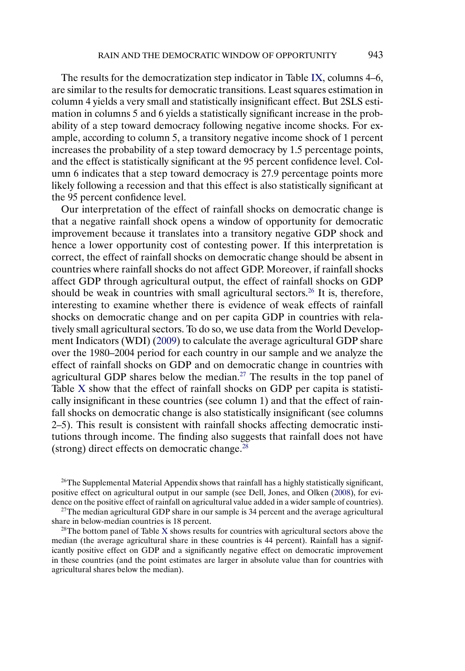<span id="page-20-0"></span>The results for the democratization step indicator in Table [IX,](#page-19-0) columns 4–6, are similar to the results for democratic transitions. Least squares estimation in column 4 yields a very small and statistically insignificant effect. But 2SLS estimation in columns 5 and 6 yields a statistically significant increase in the probability of a step toward democracy following negative income shocks. For example, according to column 5, a transitory negative income shock of 1 percent increases the probability of a step toward democracy by 1.5 percentage points, and the effect is statistically significant at the 95 percent confidence level. Column 6 indicates that a step toward democracy is 27.9 percentage points more likely following a recession and that this effect is also statistically significant at the 95 percent confidence level.

Our interpretation of the effect of rainfall shocks on democratic change is that a negative rainfall shock opens a window of opportunity for democratic improvement because it translates into a transitory negative GDP shock and hence a lower opportunity cost of contesting power. If this interpretation is correct, the effect of rainfall shocks on democratic change should be absent in countries where rainfall shocks do not affect GDP. Moreover, if rainfall shocks affect GDP through agricultural output, the effect of rainfall shocks on GDP should be weak in countries with small agricultural sectors.<sup>26</sup> It is, therefore, interesting to examine whether there is evidence of weak effects of rainfall shocks on democratic change and on per capita GDP in countries with relatively small agricultural sectors. To do so, we use data from the World Development Indicators (WDI) [\(2009\)](#page-24-0) to calculate the average agricultural GDP share over the 1980–2004 period for each country in our sample and we analyze the effect of rainfall shocks on GDP and on democratic change in countries with agricultural GDP shares below the median.<sup>27</sup> The results in the top panel of Table [X](#page-21-0) show that the effect of rainfall shocks on GDP per capita is statistically insignificant in these countries (see column 1) and that the effect of rainfall shocks on democratic change is also statistically insignificant (see columns 2–5). This result is consistent with rainfall shocks affecting democratic institutions through income. The finding also suggests that rainfall does not have (strong) direct effects on democratic change. $^{28}$ 

<sup>26</sup>The Supplemental Material Appendix shows that rainfall has a highly statistically significant, positive effect on agricultural output in our sample (see Dell, Jones, and Olken [\(2008\)](#page-23-0), for evidence on the positive effect of rainfall on agricultural value added in a wider sample of countries).

 $27$ The median agricultural GDP share in our sample is 34 percent and the average agricultural share in below-median countries is 18 percent.

 $28$ The bottom panel of Table [X](#page-21-0) shows results for countries with agricultural sectors above the median (the average agricultural share in these countries is 44 percent). Rainfall has a significantly positive effect on GDP and a significantly negative effect on democratic improvement in these countries (and the point estimates are larger in absolute value than for countries with agricultural shares below the median).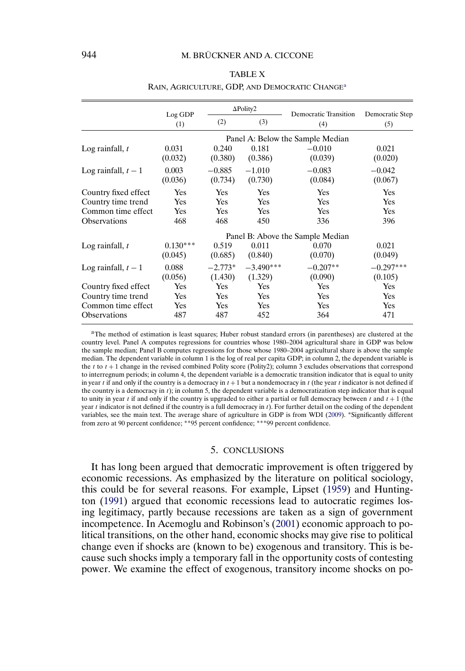#### TABLE X

<span id="page-21-0"></span>

|                      | Log GDP    |            | $\Delta$ Polity2 | Democratic Transition            | Democratic Step |
|----------------------|------------|------------|------------------|----------------------------------|-----------------|
|                      | (1)        | (2)        | (3)              | (4)                              | (5)             |
|                      |            |            |                  | Panel A: Below the Sample Median |                 |
| Log rainfall, t      | 0.031      | 0.240      | 0.181            | $-0.010$                         | 0.021           |
|                      | (0.032)    | (0.380)    | (0.386)          | (0.039)                          | (0.020)         |
| Log rainfall, $t-1$  | 0.003      | $-0.885$   | $-1.010$         | $-0.083$                         | $-0.042$        |
|                      | (0.036)    | (0.734)    | (0.730)          | (0.084)                          | (0.067)         |
| Country fixed effect | Yes        | Yes        | Yes              | Yes                              | Yes             |
| Country time trend   | Yes        | Yes        | Yes              | Yes                              | Yes             |
| Common time effect   | Yes        | Yes        | Yes              | Yes                              | Yes             |
| Observations         | 468        | 468        | 450              | 336                              | 396             |
|                      |            |            |                  | Panel B: Above the Sample Median |                 |
| Log rainfall, t      | $0.130***$ | 0.519      | 0.011            | 0.070                            | 0.021           |
|                      | (0.045)    | (0.685)    | (0.840)          | (0.070)                          | (0.049)         |
| Log rainfall, $t-1$  | 0.088      | $-2.773*$  | $-3.490***$      | $-0.207**$                       | $-0.297***$     |
|                      | (0.056)    | (1.430)    | (1.329)          | (0.090)                          | (0.105)         |
| Country fixed effect | Yes        | Yes        | Yes              | Yes                              | Yes             |
| Country time trend   | Yes        | Yes        | <b>Yes</b>       | Yes                              | Yes             |
| Common time effect   | <b>Yes</b> | <b>Yes</b> | <b>Yes</b>       | Yes                              | <b>Yes</b>      |
| Observations         | 487        | 487        | 452              | 364                              | 471             |
|                      |            |            |                  |                                  |                 |

#### RAIN, AGRICULTURE, GDP, AND DEMOCRATIC CHANGE<sup>a</sup>

<sup>a</sup>The method of estimation is least squares; Huber robust standard errors (in parentheses) are clustered at the country level. Panel A computes regressions for countries whose 1980–2004 agricultural share in GDP was below the sample median; Panel B computes regressions for those whose 1980–2004 agricultural share is above the sample median. The dependent variable in column 1 is the log of real per capita GDP; in column 2, the dependent variable is the t to  $t + 1$  change in the revised combined Polity score (Polity2); column 3 excludes observations that correspond to interregnum periods; in column 4, the dependent variable is a democratic transition indicator that is equal to unity in year t if and only if the country is a democracy in  $t + 1$  but a nondemocracy in t (the year t indicator is not defined if the country is a democracy in  $t$ ); in column 5, the dependent variable is a democratization step indicator that is equal to unity in year t if and only if the country is upgraded to either a partial or full democracy between t and  $t + 1$  (the year  $t$  indicator is not defined if the country is a full democracy in  $t$ ). For further detail on the coding of the dependent variables, see the main text. The average share of agriculture in GDP is from WDI [\(2009\)](#page-24-0). \*Significantly different from zero at 90 percent confidence; \*\*95 percent confidence; \*\*\*99 percent confidence.

### 5. CONCLUSIONS

It has long been argued that democratic improvement is often triggered by economic recessions. As emphasized by the literature on political sociology, this could be for several reasons. For example, Lipset [\(1959\)](#page-23-0) and Huntington [\(1991\)](#page-23-0) argued that economic recessions lead to autocratic regimes losing legitimacy, partly because recessions are taken as a sign of government incompetence. In Acemoglu and Robinson's [\(2001\)](#page-22-0) economic approach to political transitions, on the other hand, economic shocks may give rise to political change even if shocks are (known to be) exogenous and transitory. This is because such shocks imply a temporary fall in the opportunity costs of contesting power. We examine the effect of exogenous, transitory income shocks on po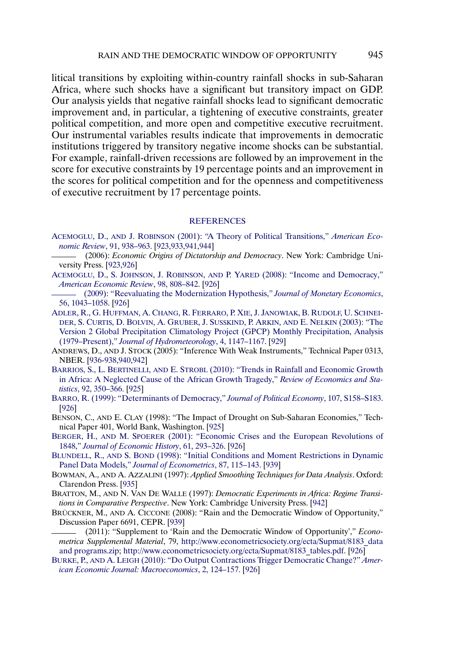<span id="page-22-0"></span>litical transitions by exploiting within-country rainfall shocks in sub-Saharan Africa, where such shocks have a significant but transitory impact on GDP. Our analysis yields that negative rainfall shocks lead to significant democratic improvement and, in particular, a tightening of executive constraints, greater political competition, and more open and competitive executive recruitment. Our instrumental variables results indicate that improvements in democratic institutions triggered by transitory negative income shocks can be substantial. For example, rainfall-driven recessions are followed by an improvement in the score for executive constraints by 19 percentage points and an improvement in the scores for political competition and for the openness and competitiveness of executive recruitment by 17 percentage points.

### **[REFERENCES](http://www.e-publications.org/srv/ecta/linkserver/setprefs?rfe_id=urn:sici%2F0012-9682%28201105%2979%3A3%3C923%3ARATDWO%3E2.0.CO%3B2-W)**

- ACEMOGLU, D., AND J. ROBINSON [\(2001\): "A Theory of Political Transitions,"](http://www.e-publications.org/srv/ecta/linkserver/openurl?rft_dat=bib:1/2001ACEMOGLU&rfe_id=urn:sici%2F0012-9682%28201105%2979%3A3%3C923%3ARATDWO%3E2.0.CO%3B2-W) *American Eco[nomic Review](http://www.e-publications.org/srv/ecta/linkserver/openurl?rft_dat=bib:1/2001ACEMOGLU&rfe_id=urn:sici%2F0012-9682%28201105%2979%3A3%3C923%3ARATDWO%3E2.0.CO%3B2-W)*, 91, 938–963. [\[923,933](#page-0-0)[,941](#page-10-0)[,944\]](#page-18-0)
- (2006): *Economic Origins of Dictatorship and Democracy*. New York: Cambridge University Press. [\[923,926\]](#page-0-0)
- [ACEMOGLU, D., S. JOHNSON, J. ROBINSON,](http://www.e-publications.org/srv/ecta/linkserver/openurl?rft_dat=bib:3/2008ACEMOGLU&rfe_id=urn:sici%2F0012-9682%28201105%2979%3A3%3C923%3ARATDWO%3E2.0.CO%3B2-W) AND P. YARED (2008): "Income and Democracy," *[American Economic Review](http://www.e-publications.org/srv/ecta/linkserver/openurl?rft_dat=bib:3/2008ACEMOGLU&rfe_id=urn:sici%2F0012-9682%28201105%2979%3A3%3C923%3ARATDWO%3E2.0.CO%3B2-W)*, 98, 808–842. [\[926\]](#page-3-0)
- [\(2009\): "Reevaluating the Modernization Hypothesis,"](http://www.e-publications.org/srv/ecta/linkserver/openurl?rft_dat=bib:4/2009ACEMOGLU&rfe_id=urn:sici%2F0012-9682%28201105%2979%3A3%3C923%3ARATDWO%3E2.0.CO%3B2-W) *Journal of Monetary Economics*, [56, 1043–1058.](http://www.e-publications.org/srv/ecta/linkserver/openurl?rft_dat=bib:4/2009ACEMOGLU&rfe_id=urn:sici%2F0012-9682%28201105%2979%3A3%3C923%3ARATDWO%3E2.0.CO%3B2-W) [\[926\]](#page-3-0)
- [ADLER, R., G. HUFFMAN, A. CHANG, R. FERRARO, P. XIE, J. JANOWIAK, B. RUDOLF, U. SCHNEI-](http://www.e-publications.org/srv/ecta/linkserver/openurl?rft_dat=bib:5/2003ADLER&rfe_id=urn:sici%2F0012-9682%28201105%2979%3A3%3C923%3ARATDWO%3E2.0.CO%3B2-W)[DER, S. CURTIS, D. BOLVIN, A. GRUBER, J. SUSSKIND, P. ARKIN,](http://www.e-publications.org/srv/ecta/linkserver/openurl?rft_dat=bib:5/2003ADLER&rfe_id=urn:sici%2F0012-9682%28201105%2979%3A3%3C923%3ARATDWO%3E2.0.CO%3B2-W) AND E. NELKIN (2003): "The [Version 2 Global Precipitation Climatology Project \(GPCP\) Monthly Precipitation, Analysis](http://www.e-publications.org/srv/ecta/linkserver/openurl?rft_dat=bib:5/2003ADLER&rfe_id=urn:sici%2F0012-9682%28201105%2979%3A3%3C923%3ARATDWO%3E2.0.CO%3B2-W) (1979–Present)," *[Journal of Hydrometeorology](http://www.e-publications.org/srv/ecta/linkserver/openurl?rft_dat=bib:5/2003ADLER&rfe_id=urn:sici%2F0012-9682%28201105%2979%3A3%3C923%3ARATDWO%3E2.0.CO%3B2-W)*, 4, 1147–1167. [\[929\]](#page-6-0)
- ANDREWS, D., AND J. STOCK (2005): "Inference With Weak Instruments," Technical Paper 0313, NBER. [\[936-938,](#page-13-0)[940,](#page-15-0)[942\]](#page-17-0)
- BARRIOS, S., L. BERTINELLI, AND E. STROBL [\(2010\): "Trends in Rainfall and Economic Growth](http://www.e-publications.org/srv/ecta/linkserver/openurl?rft_dat=bib:7/2008BARRIOS&rfe_id=urn:sici%2F0012-9682%28201105%2979%3A3%3C923%3ARATDWO%3E2.0.CO%3B2-W) [in Africa: A Neglected Cause of the African Growth Tragedy,"](http://www.e-publications.org/srv/ecta/linkserver/openurl?rft_dat=bib:7/2008BARRIOS&rfe_id=urn:sici%2F0012-9682%28201105%2979%3A3%3C923%3ARATDWO%3E2.0.CO%3B2-W) *Review of Economics and Statistics*[, 92, 350–366.](http://www.e-publications.org/srv/ecta/linkserver/openurl?rft_dat=bib:7/2008BARRIOS&rfe_id=urn:sici%2F0012-9682%28201105%2979%3A3%3C923%3ARATDWO%3E2.0.CO%3B2-W) [\[925\]](#page-2-0)
- [BARRO, R. \(1999\): "Determinants of Democracy,"](http://www.e-publications.org/srv/ecta/linkserver/openurl?rft_dat=bib:8/1999BARRO&rfe_id=urn:sici%2F0012-9682%28201105%2979%3A3%3C923%3ARATDWO%3E2.0.CO%3B2-W) *Journal of Political Economy*, 107, S158–S183. [\[926\]](#page-3-0)
- BENSON, C., AND E. CLAY (1998): "The Impact of Drought on Sub-Saharan Economies," Technical Paper 401, World Bank, Washington. [\[925\]](#page-2-0)

BERGER, H., AND M. SPOERER [\(2001\): "Economic Crises and the European Revolutions of](http://www.e-publications.org/srv/ecta/linkserver/openurl?rft_dat=bib:10/2001BERGER&rfe_id=urn:sici%2F0012-9682%28201105%2979%3A3%3C923%3ARATDWO%3E2.0.CO%3B2-W) 1848," *[Journal of Economic History](http://www.e-publications.org/srv/ecta/linkserver/openurl?rft_dat=bib:10/2001BERGER&rfe_id=urn:sici%2F0012-9682%28201105%2979%3A3%3C923%3ARATDWO%3E2.0.CO%3B2-W)*, 61, 293–326. [\[926\]](#page-3-0)

- BLUNDELL, R., AND S. BOND [\(1998\): "Initial Conditions and Moment Restrictions in Dynamic](http://www.e-publications.org/srv/ecta/linkserver/openurl?rft_dat=bib:11/1998BLUNDELL&rfe_id=urn:sici%2F0012-9682%28201105%2979%3A3%3C923%3ARATDWO%3E2.0.CO%3B2-W) Panel Data Models," *[Journal of Econometrics](http://www.e-publications.org/srv/ecta/linkserver/openurl?rft_dat=bib:11/1998BLUNDELL&rfe_id=urn:sici%2F0012-9682%28201105%2979%3A3%3C923%3ARATDWO%3E2.0.CO%3B2-W)*, 87, 115–143. [\[939\]](#page-16-0)
- BOWMAN, A., AND A. AZZALINI (1997): *Applied Smoothing Techniques for Data Analysis*. Oxford: Clarendon Press. [\[935\]](#page-12-0)
- BRATTON, M., AND N. VAN DE WALLE (1997): *Democratic Experiments in Africa: Regime Transitions in Comparative Perspective*. New York: Cambridge University Press. [\[942\]](#page-19-0)
- BRÜCKNER, M., AND A. CICCONE (2008): "Rain and the Democratic Window of Opportunity," Discussion Paper 6691, CEPR. [\[939\]](#page-16-0)
- (2011): "Supplement to 'Rain and the Democratic Window of Opportunity'," *Econometrica Supplemental Material*, 79, [http://www.econometricsociety.org/ecta/Supmat/8183\\_data](http://www.econometricsociety.org/ecta/Supmat/8183_data%20and%20programs.zip) [and programs.zip;](http://www.econometricsociety.org/ecta/Supmat/8183_data%20and%20programs.zip) [http://www.econometricsociety.org/ecta/Supmat/8183\\_tables.pdf.](http://www.econometricsociety.org/ecta/Supmat/8183_tables.pdf) [\[926\]](#page-3-0)
- BURKE, P., AND A. LEIGH [\(2010\): "Do Output Contractions Trigger Democratic Change?"](http://www.e-publications.org/srv/ecta/linkserver/openurl?rft_dat=bib:16/2010BURKE&rfe_id=urn:sici%2F0012-9682%28201105%2979%3A3%3C923%3ARATDWO%3E2.0.CO%3B2-W) *Amer[ican Economic Journal: Macroeconomics](http://www.e-publications.org/srv/ecta/linkserver/openurl?rft_dat=bib:16/2010BURKE&rfe_id=urn:sici%2F0012-9682%28201105%2979%3A3%3C923%3ARATDWO%3E2.0.CO%3B2-W)*, 2, 124–157. [\[926\]](#page-3-0)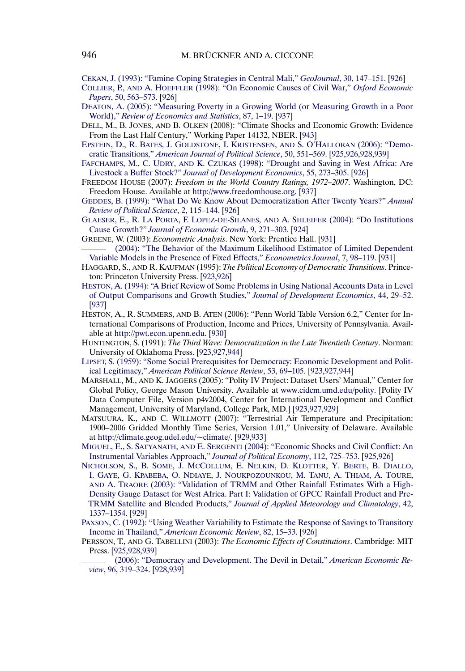<span id="page-23-0"></span>[CEKAN, J. \(1993\): "Famine Coping Strategies in Central Mali,"](http://www.e-publications.org/srv/ecta/linkserver/openurl?rft_dat=bib:17/1993CEKAN&rfe_id=urn:sici%2F0012-9682%28201105%2979%3A3%3C923%3ARATDWO%3E2.0.CO%3B2-W) *GeoJournal*, 30, 147–151. [\[926\]](#page-3-0)

- COLLIER, P., AND A. HOEFFLER [\(1998\): "On Economic Causes of Civil War,"](http://www.e-publications.org/srv/ecta/linkserver/openurl?rft_dat=bib:18/1998COLLIER&rfe_id=urn:sici%2F0012-9682%28201105%2979%3A3%3C923%3ARATDWO%3E2.0.CO%3B2-W) *Oxford Economic Papers*[, 50, 563–573.](http://www.e-publications.org/srv/ecta/linkserver/openurl?rft_dat=bib:18/1998COLLIER&rfe_id=urn:sici%2F0012-9682%28201105%2979%3A3%3C923%3ARATDWO%3E2.0.CO%3B2-W) [\[926\]](#page-3-0)
- [DEATON, A. \(2005\): "Measuring Poverty in a Growing World \(or Measuring Growth in a Poor](http://www.e-publications.org/srv/ecta/linkserver/openurl?rft_dat=bib:19/2005DEATON&rfe_id=urn:sici%2F0012-9682%28201105%2979%3A3%3C923%3ARATDWO%3E2.0.CO%3B2-W) World)," *[Review of Economics and Statistics](http://www.e-publications.org/srv/ecta/linkserver/openurl?rft_dat=bib:19/2005DEATON&rfe_id=urn:sici%2F0012-9682%28201105%2979%3A3%3C923%3ARATDWO%3E2.0.CO%3B2-W)*, 87, 1–19. [\[937\]](#page-14-0)
- DELL, M., B. JONES, AND B. OLKEN (2008): "Climate Shocks and Economic Growth: Evidence From the Last Half Century," Working Paper 14132, NBER. [\[943\]](#page-20-0)
- [EPSTEIN, D., R. BATES, J. GOLDSTONE, I. KRISTENSEN,](http://www.e-publications.org/srv/ecta/linkserver/openurl?rft_dat=bib:21/2006EPSTEIN&rfe_id=urn:sici%2F0012-9682%28201105%2979%3A3%3C923%3ARATDWO%3E2.0.CO%3B2-W) AND S. O'HALLORAN (2006): "Democratic Transitions," *[American Journal of Political Science](http://www.e-publications.org/srv/ecta/linkserver/openurl?rft_dat=bib:21/2006EPSTEIN&rfe_id=urn:sici%2F0012-9682%28201105%2979%3A3%3C923%3ARATDWO%3E2.0.CO%3B2-W)*, 50, 551–569. [\[925,926](#page-2-0)[,928](#page-3-0)[,939\]](#page-5-0)
- FAFCHAMPS, M., C. UDRY, AND K. CZUKAS [\(1998\): "Drought and Saving in West Africa: Are](http://www.e-publications.org/srv/ecta/linkserver/openurl?rft_dat=bib:22/1998FAFCHAMPS&rfe_id=urn:sici%2F0012-9682%28201105%2979%3A3%3C923%3ARATDWO%3E2.0.CO%3B2-W) Livestock a Buffer Stock?" *[Journal of Development Economics](http://www.e-publications.org/srv/ecta/linkserver/openurl?rft_dat=bib:22/1998FAFCHAMPS&rfe_id=urn:sici%2F0012-9682%28201105%2979%3A3%3C923%3ARATDWO%3E2.0.CO%3B2-W)*, 55, 273–305. [\[926\]](#page-3-0)
- FREEDOM HOUSE (2007): *Freedom in the World Country Ratings, 1972–2007*. Washington, DC: Freedom House. Available at <http://www.freedomhouse.org>. [\[937\]](#page-14-0)
- [GEDDES, B. \(1999\): "What Do We Know About Democratization After Twenty Years?"](http://www.e-publications.org/srv/ecta/linkserver/openurl?rft_dat=bib:24/1999GEDDES&rfe_id=urn:sici%2F0012-9682%28201105%2979%3A3%3C923%3ARATDWO%3E2.0.CO%3B2-W) *Annual [Review of Political Science](http://www.e-publications.org/srv/ecta/linkserver/openurl?rft_dat=bib:24/1999GEDDES&rfe_id=urn:sici%2F0012-9682%28201105%2979%3A3%3C923%3ARATDWO%3E2.0.CO%3B2-W)*, 2, 115–144. [\[926\]](#page-3-0)
- GLAESER, E., R. LA [PORTA, F. LOPEZ-DE-SILANES,](http://www.e-publications.org/srv/ecta/linkserver/openurl?rft_dat=bib:25/2004GLAESER&rfe_id=urn:sici%2F0012-9682%28201105%2979%3A3%3C923%3ARATDWO%3E2.0.CO%3B2-W) AND A. SHLEIFER (2004): "Do Institutions Cause Growth?" *[Journal of Economic Growth](http://www.e-publications.org/srv/ecta/linkserver/openurl?rft_dat=bib:25/2004GLAESER&rfe_id=urn:sici%2F0012-9682%28201105%2979%3A3%3C923%3ARATDWO%3E2.0.CO%3B2-W)*, 9, 271–303. [\[924\]](#page-1-0)
- GREENE, W. (2003): *Econometric Analysis*. New York: Prentice Hall. [\[931\]](#page-8-0) [\(2004\): "The Behavior of the Maximum Likelihood Estimator of Limited Dependent](http://www.e-publications.org/srv/ecta/linkserver/openurl?rft_dat=bib:27/2004GREENE&rfe_id=urn:sici%2F0012-9682%28201105%2979%3A3%3C923%3ARATDWO%3E2.0.CO%3B2-W) [Variable Models in the Presence of Fixed Effects,"](http://www.e-publications.org/srv/ecta/linkserver/openurl?rft_dat=bib:27/2004GREENE&rfe_id=urn:sici%2F0012-9682%28201105%2979%3A3%3C923%3ARATDWO%3E2.0.CO%3B2-W) *Econometrics Journal*, 7, 98–119. [\[931\]](#page-8-0)
- HAGGARD, S., AND R. KAUFMAN (1995): *The Political Economy of Democratic Transitions*. Princeton: Princeton University Press. [\[923,926\]](#page-0-0)
- [HESTON, A. \(1994\): "A Brief Review of Some Problems in Using National Accounts Data in Level](http://www.e-publications.org/srv/ecta/linkserver/openurl?rft_dat=bib:29/1994Heston&rfe_id=urn:sici%2F0012-9682%28201105%2979%3A3%3C923%3ARATDWO%3E2.0.CO%3B2-W) [of Output Comparisons and Growth Studies,"](http://www.e-publications.org/srv/ecta/linkserver/openurl?rft_dat=bib:29/1994Heston&rfe_id=urn:sici%2F0012-9682%28201105%2979%3A3%3C923%3ARATDWO%3E2.0.CO%3B2-W) *Journal of Development Economics*, 44, 29–52. [\[937\]](#page-14-0)
- HESTON, A., R. SUMMERS, AND B. ATEN (2006): "Penn World Table Version 6.2," Center for International Comparisons of Production, Income and Prices, University of Pennsylvania. Available at <http://pwt.econ.upenn.edu>. [\[930\]](#page-7-0)
- HUNTINGTON, S. (1991): *The Third Wave: Democratization in the Late Twentieth Century*. Norman: University of Oklahoma Press. [\[923,927,](#page-0-0)[944\]](#page-4-0)
- [LIPSET, S. \(1959\): "Some Social Prerequisites for Democracy: Economic Development and Polit](http://www.e-publications.org/srv/ecta/linkserver/openurl?rft_dat=bib:32/1959LIPSET&rfe_id=urn:sici%2F0012-9682%28201105%2979%3A3%3C923%3ARATDWO%3E2.0.CO%3B2-W)ical Legitimacy," *[American Political Science Review](http://www.e-publications.org/srv/ecta/linkserver/openurl?rft_dat=bib:32/1959LIPSET&rfe_id=urn:sici%2F0012-9682%28201105%2979%3A3%3C923%3ARATDWO%3E2.0.CO%3B2-W)*, 53, 69–105. [\[923,927](#page-0-0)[,944\]](#page-4-0)
- MARSHALL, M., AND K. JAGGERS (2005): "Polity IV Project: Dataset Users' Manual," Center for Global Policy, George Mason University. Available at [www.cidcm.umd.edu/polity](http://www.cidcm.umd.edu/polity). [Polity IV Data Computer File, Version p4v2004, Center for International Development and Conflict Management, University of Maryland, College Park, MD.] [\[923,927](#page-0-0)[,929\]](#page-4-0)
- MATSUURA, K., AND C. WILLMOTT (2007): "Terrestrial Air Temperature and Precipitation: 1900–2006 Gridded Monthly Time Series, Version 1.01," University of Delaware. Available at <http://climate.geog.udel.edu/~climate/>. [\[929,933\]](#page-6-0)
- MIGUEL, E., S. SATYANATH, AND E. SERGENTI [\(2004\): "Economic Shocks and Civil Conflict: An](http://www.e-publications.org/srv/ecta/linkserver/openurl?rft_dat=bib:35/2004MIGUEL&rfe_id=urn:sici%2F0012-9682%28201105%2979%3A3%3C923%3ARATDWO%3E2.0.CO%3B2-W) [Instrumental Variables Approach,"](http://www.e-publications.org/srv/ecta/linkserver/openurl?rft_dat=bib:35/2004MIGUEL&rfe_id=urn:sici%2F0012-9682%28201105%2979%3A3%3C923%3ARATDWO%3E2.0.CO%3B2-W) *Journal of Political Economy*, 112, 725–753. [\[925,926\]](#page-2-0)
- [NICHOLSON, S., B. SOME, J. MCCOLLUM, E. NELKIN, D. KLOTTER, Y. BERTE, B. DIALLO,](http://www.e-publications.org/srv/ecta/linkserver/openurl?rft_dat=bib:36/2003NICHOLSON&rfe_id=urn:sici%2F0012-9682%28201105%2979%3A3%3C923%3ARATDWO%3E2.0.CO%3B2-W) [I. GAYE, G. KPABEBA, O. NDIAYE, J. NOUKPOZOUNKOU, M. TANU, A. THIAM, A. TOURE,](http://www.e-publications.org/srv/ecta/linkserver/openurl?rft_dat=bib:36/2003NICHOLSON&rfe_id=urn:sici%2F0012-9682%28201105%2979%3A3%3C923%3ARATDWO%3E2.0.CO%3B2-W) AND A. TRAORE [\(2003\): "Validation of TRMM and Other Rainfall Estimates With a High-](http://www.e-publications.org/srv/ecta/linkserver/openurl?rft_dat=bib:36/2003NICHOLSON&rfe_id=urn:sici%2F0012-9682%28201105%2979%3A3%3C923%3ARATDWO%3E2.0.CO%3B2-W)[Density Gauge Dataset for West Africa. Part I: Validation of GPCC Rainfall Product and Pre-](http://www.e-publications.org/srv/ecta/linkserver/openurl?rft_dat=bib:36/2003NICHOLSON&rfe_id=urn:sici%2F0012-9682%28201105%2979%3A3%3C923%3ARATDWO%3E2.0.CO%3B2-W)TRMM Satellite and Blended Products," *[Journal of Applied Meteorology and Climatology](http://www.e-publications.org/srv/ecta/linkserver/openurl?rft_dat=bib:36/2003NICHOLSON&rfe_id=urn:sici%2F0012-9682%28201105%2979%3A3%3C923%3ARATDWO%3E2.0.CO%3B2-W)*, 42, [1337–1354.](http://www.e-publications.org/srv/ecta/linkserver/openurl?rft_dat=bib:36/2003NICHOLSON&rfe_id=urn:sici%2F0012-9682%28201105%2979%3A3%3C923%3ARATDWO%3E2.0.CO%3B2-W) [\[929\]](#page-6-0)
- [PAXSON, C. \(1992\): "Using Weather Variability to Estimate the Response of Savings to Transitory](http://www.e-publications.org/srv/ecta/linkserver/openurl?rft_dat=bib:37/1992PAXSON&rfe_id=urn:sici%2F0012-9682%28201105%2979%3A3%3C923%3ARATDWO%3E2.0.CO%3B2-W) Income in Thailand," *[American Economic Review](http://www.e-publications.org/srv/ecta/linkserver/openurl?rft_dat=bib:37/1992PAXSON&rfe_id=urn:sici%2F0012-9682%28201105%2979%3A3%3C923%3ARATDWO%3E2.0.CO%3B2-W)*, 82, 15–33. [\[926\]](#page-3-0)
- PERSSON, T., AND G. TABELLINI (2003): *The Economic Effects of Constitutions*. Cambridge: MIT Press. [\[925,928,](#page-2-0)[939\]](#page-5-0)
- [\(2006\): "Democracy and Development. The Devil in Detail,"](http://www.e-publications.org/srv/ecta/linkserver/openurl?rft_dat=bib:39/2006PERSSON&rfe_id=urn:sici%2F0012-9682%28201105%2979%3A3%3C923%3ARATDWO%3E2.0.CO%3B2-W) *American Economic Review*[, 96, 319–324.](http://www.e-publications.org/srv/ecta/linkserver/openurl?rft_dat=bib:39/2006PERSSON&rfe_id=urn:sici%2F0012-9682%28201105%2979%3A3%3C923%3ARATDWO%3E2.0.CO%3B2-W) [\[928,939\]](#page-5-0)